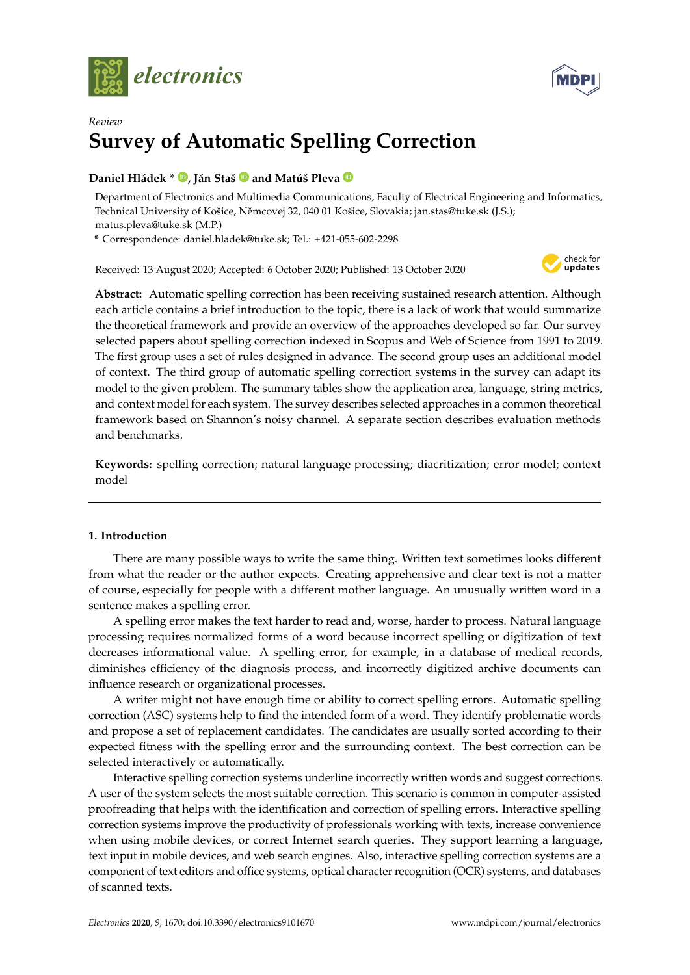



# *Review* **Survey of Automatic Spelling Correction**

# **Daniel Hládek \* [,](https://orcid.org/0000-0003-1148-3194) Ján Staš and Matúš Pleva**

Department of Electronics and Multimedia Communications, Faculty of Electrical Engineering and Informatics, Technical University of Košice, Němcovej 32, 040 01 Košice, Slovakia; jan.stas@tuke.sk (J.S.); matus.pleva@tuke.sk (M.P.)

**\*** Correspondence: daniel.hladek@tuke.sk; Tel.: +421-055-602-2298

Received: 13 August 2020; Accepted: 6 October 2020; Published: 13 October 2020



**Abstract:** Automatic spelling correction has been receiving sustained research attention. Although each article contains a brief introduction to the topic, there is a lack of work that would summarize the theoretical framework and provide an overview of the approaches developed so far. Our survey selected papers about spelling correction indexed in Scopus and Web of Science from 1991 to 2019. The first group uses a set of rules designed in advance. The second group uses an additional model of context. The third group of automatic spelling correction systems in the survey can adapt its model to the given problem. The summary tables show the application area, language, string metrics, and context model for each system. The survey describes selected approaches in a common theoretical framework based on Shannon's noisy channel. A separate section describes evaluation methods and benchmarks.

**Keywords:** spelling correction; natural language processing; diacritization; error model; context model

# **1. Introduction**

There are many possible ways to write the same thing. Written text sometimes looks different from what the reader or the author expects. Creating apprehensive and clear text is not a matter of course, especially for people with a different mother language. An unusually written word in a sentence makes a spelling error.

A spelling error makes the text harder to read and, worse, harder to process. Natural language processing requires normalized forms of a word because incorrect spelling or digitization of text decreases informational value. A spelling error, for example, in a database of medical records, diminishes efficiency of the diagnosis process, and incorrectly digitized archive documents can influence research or organizational processes.

A writer might not have enough time or ability to correct spelling errors. Automatic spelling correction (ASC) systems help to find the intended form of a word. They identify problematic words and propose a set of replacement candidates. The candidates are usually sorted according to their expected fitness with the spelling error and the surrounding context. The best correction can be selected interactively or automatically.

Interactive spelling correction systems underline incorrectly written words and suggest corrections. A user of the system selects the most suitable correction. This scenario is common in computer-assisted proofreading that helps with the identification and correction of spelling errors. Interactive spelling correction systems improve the productivity of professionals working with texts, increase convenience when using mobile devices, or correct Internet search queries. They support learning a language, text input in mobile devices, and web search engines. Also, interactive spelling correction systems are a component of text editors and office systems, optical character recognition (OCR) systems, and databases of scanned texts.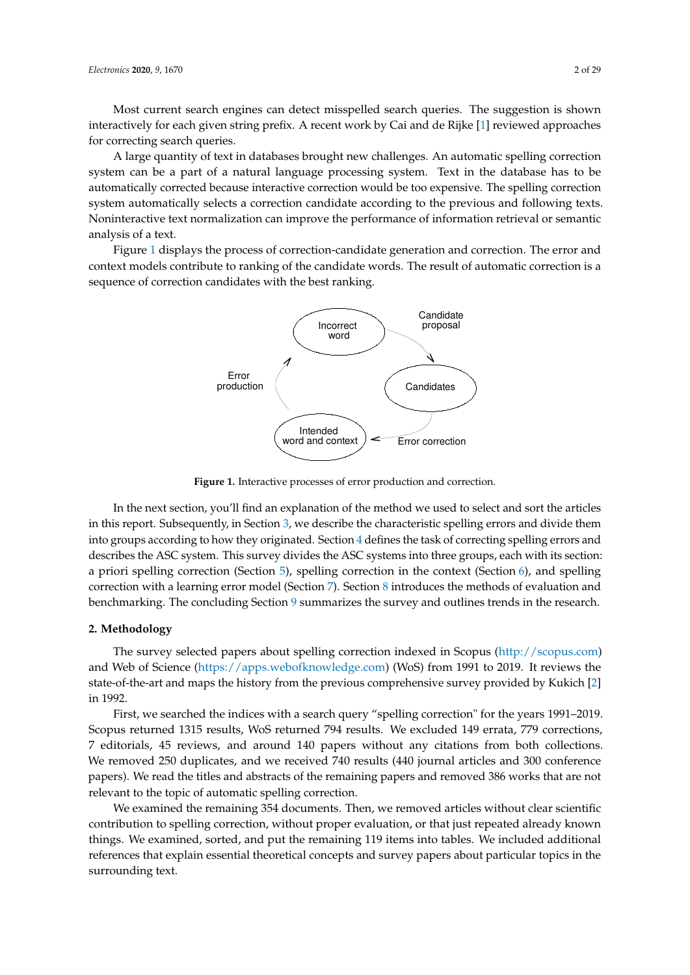Most current search engines can detect misspelled search queries. The suggestion is shown interactively for each given string prefix. A recent work by Cai and de Rijke [\[1\]](#page-20-0) reviewed approaches for correcting search queries.

A large quantity of text in databases brought new challenges. An automatic spelling correction system can be a part of a natural language processing system. Text in the database has to be automatically corrected because interactive correction would be too expensive. The spelling correction system automatically selects a correction candidate according to the previous and following texts. Noninteractive text normalization can improve the performance of information retrieval or semantic analysis of a text.

<span id="page-1-0"></span>Figure [1](#page-1-0) displays the process of correction-candidate generation and correction. The error and context models contribute to ranking of the candidate words. The result of automatic correction is a sequence of correction candidates with the best ranking.



**Figure 1.** Interactive processes of error production and correction.

In the next section, you'll find an explanation of the method we used to select and sort the articles in this report. Subsequently, in Section [3,](#page-2-0) we describe the characteristic spelling errors and divide them into groups according to how they originated. Section [4](#page-3-0) defines the task of correcting spelling errors and describes the ASC system. This survey divides the ASC systems into three groups, each with its section: a priori spelling correction (Section [5\)](#page-5-0), spelling correction in the context (Section [6\)](#page-7-0), and spelling correction with a learning error model (Section [7\)](#page-11-0). Section [8](#page-16-0) introduces the methods of evaluation and benchmarking. The concluding Section [9](#page-19-0) summarizes the survey and outlines trends in the research.

#### **2. Methodology**

The survey selected papers about spelling correction indexed in Scopus [\(http://scopus.com\)](http://scopus.com) and Web of Science [\(https://apps.webofknowledge.com\)](https://apps.webofknowledge.com) (WoS) from 1991 to 2019. It reviews the state-of-the-art and maps the history from the previous comprehensive survey provided by Kukich [\[2\]](#page-20-1) in 1992.

First, we searched the indices with a search query "spelling correction" for the years 1991–2019. Scopus returned 1315 results, WoS returned 794 results. We excluded 149 errata, 779 corrections, 7 editorials, 45 reviews, and around 140 papers without any citations from both collections. We removed 250 duplicates, and we received 740 results (440 journal articles and 300 conference papers). We read the titles and abstracts of the remaining papers and removed 386 works that are not relevant to the topic of automatic spelling correction.

We examined the remaining 354 documents. Then, we removed articles without clear scientific contribution to spelling correction, without proper evaluation, or that just repeated already known things. We examined, sorted, and put the remaining 119 items into tables. We included additional references that explain essential theoretical concepts and survey papers about particular topics in the surrounding text.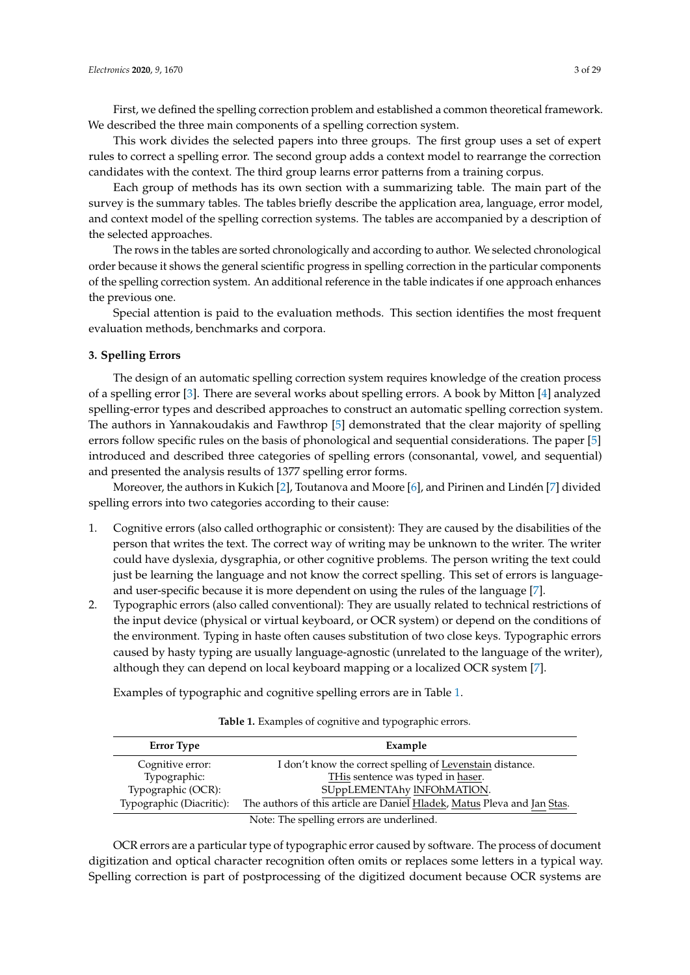First, we defined the spelling correction problem and established a common theoretical framework. We described the three main components of a spelling correction system.

This work divides the selected papers into three groups. The first group uses a set of expert rules to correct a spelling error. The second group adds a context model to rearrange the correction candidates with the context. The third group learns error patterns from a training corpus.

Each group of methods has its own section with a summarizing table. The main part of the survey is the summary tables. The tables briefly describe the application area, language, error model, and context model of the spelling correction systems. The tables are accompanied by a description of the selected approaches.

The rows in the tables are sorted chronologically and according to author. We selected chronological order because it shows the general scientific progress in spelling correction in the particular components of the spelling correction system. An additional reference in the table indicates if one approach enhances the previous one.

Special attention is paid to the evaluation methods. This section identifies the most frequent evaluation methods, benchmarks and corpora.

#### <span id="page-2-0"></span>**3. Spelling Errors**

The design of an automatic spelling correction system requires knowledge of the creation process of a spelling error [\[3\]](#page-20-2). There are several works about spelling errors. A book by Mitton [\[4\]](#page-20-3) analyzed spelling-error types and described approaches to construct an automatic spelling correction system. The authors in Yannakoudakis and Fawthrop [\[5\]](#page-20-4) demonstrated that the clear majority of spelling errors follow specific rules on the basis of phonological and sequential considerations. The paper [\[5\]](#page-20-4) introduced and described three categories of spelling errors (consonantal, vowel, and sequential) and presented the analysis results of 1377 spelling error forms.

Moreover, the authors in Kukich [\[2\]](#page-20-1), Toutanova and Moore [\[6\]](#page-20-5), and Pirinen and Lindén [\[7\]](#page-20-6) divided spelling errors into two categories according to their cause:

- 1. Cognitive errors (also called orthographic or consistent): They are caused by the disabilities of the person that writes the text. The correct way of writing may be unknown to the writer. The writer could have dyslexia, dysgraphia, or other cognitive problems. The person writing the text could just be learning the language and not know the correct spelling. This set of errors is languageand user-specific because it is more dependent on using the rules of the language [\[7\]](#page-20-6).
- 2. Typographic errors (also called conventional): They are usually related to technical restrictions of the input device (physical or virtual keyboard, or OCR system) or depend on the conditions of the environment. Typing in haste often causes substitution of two close keys. Typographic errors caused by hasty typing are usually language-agnostic (unrelated to the language of the writer), although they can depend on local keyboard mapping or a localized OCR system [\[7\]](#page-20-6).

<span id="page-2-1"></span>Examples of typographic and cognitive spelling errors are in Table [1.](#page-2-1)

| <b>Error Type</b>        | Example                                                                  |
|--------------------------|--------------------------------------------------------------------------|
| Cognitive error:         | I don't know the correct spelling of Levenstain distance.                |
| Typographic:             | THis sentence was typed in haser.                                        |
| Typographic (OCR):       | SUppLEMENTAhy INFOhMATION.                                               |
| Typographic (Diacritic): | The authors of this article are Daniel Hladek, Matus Pleva and Jan Stas. |
|                          | Note: The spelling errors are underlined.                                |

**Table 1.** Examples of cognitive and typographic errors.

OCR errors are a particular type of typographic error caused by software. The process of document digitization and optical character recognition often omits or replaces some letters in a typical way. Spelling correction is part of postprocessing of the digitized document because OCR systems are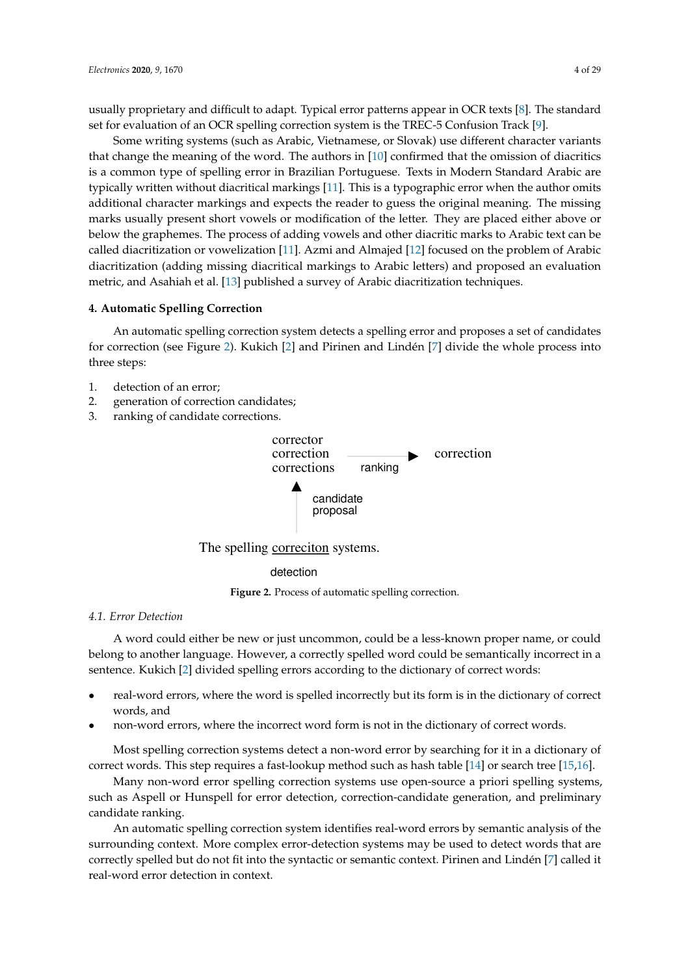usually proprietary and difficult to adapt. Typical error patterns appear in OCR texts [\[8\]](#page-20-7). The standard set for evaluation of an OCR spelling correction system is the TREC-5 Confusion Track [\[9\]](#page-20-8).

Some writing systems (such as Arabic, Vietnamese, or Slovak) use different character variants that change the meaning of the word. The authors in [\[10\]](#page-21-0) confirmed that the omission of diacritics is a common type of spelling error in Brazilian Portuguese. Texts in Modern Standard Arabic are typically written without diacritical markings [\[11\]](#page-21-1). This is a typographic error when the author omits additional character markings and expects the reader to guess the original meaning. The missing marks usually present short vowels or modification of the letter. They are placed either above or below the graphemes. The process of adding vowels and other diacritic marks to Arabic text can be called diacritization or vowelization [\[11\]](#page-21-1). Azmi and Almajed [\[12\]](#page-21-2) focused on the problem of Arabic diacritization (adding missing diacritical markings to Arabic letters) and proposed an evaluation metric, and Asahiah et al. [\[13\]](#page-21-3) published a survey of Arabic diacritization techniques.

#### <span id="page-3-0"></span>**4. Automatic Spelling Correction**

An automatic spelling correction system detects a spelling error and proposes a set of candidates for correction (see Figure [2\)](#page-3-1). Kukich [\[2\]](#page-20-1) and Pirinen and Lindén [\[7\]](#page-20-6) divide the whole process into three steps:

- 1. detection of an error;
- 2. generation of correction candidates;
- <span id="page-3-1"></span>3. ranking of candidate corrections.



The spelling correciton systems.

detection

**Figure 2.** Process of automatic spelling correction.

## *4.1. Error Detection*

A word could either be new or just uncommon, could be a less-known proper name, or could belong to another language. However, a correctly spelled word could be semantically incorrect in a sentence. Kukich [\[2\]](#page-20-1) divided spelling errors according to the dictionary of correct words:

- real-word errors, where the word is spelled incorrectly but its form is in the dictionary of correct words, and
- non-word errors, where the incorrect word form is not in the dictionary of correct words.

Most spelling correction systems detect a non-word error by searching for it in a dictionary of correct words. This step requires a fast-lookup method such as hash table [\[14\]](#page-21-4) or search tree [\[15](#page-21-5)[,16\]](#page-21-6).

Many non-word error spelling correction systems use open-source a priori spelling systems, such as Aspell or Hunspell for error detection, correction-candidate generation, and preliminary candidate ranking.

An automatic spelling correction system identifies real-word errors by semantic analysis of the surrounding context. More complex error-detection systems may be used to detect words that are correctly spelled but do not fit into the syntactic or semantic context. Pirinen and Lindén [\[7\]](#page-20-6) called it real-word error detection in context.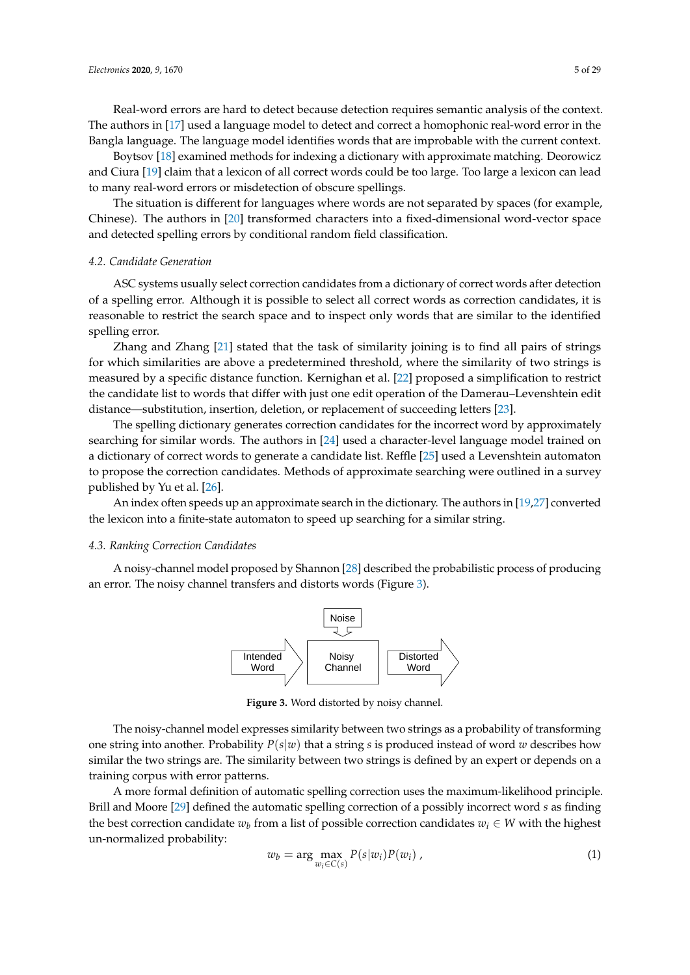Real-word errors are hard to detect because detection requires semantic analysis of the context. The authors in [\[17\]](#page-21-7) used a language model to detect and correct a homophonic real-word error in the Bangla language. The language model identifies words that are improbable with the current context.

Boytsov [\[18\]](#page-21-8) examined methods for indexing a dictionary with approximate matching. Deorowicz and Ciura [\[19\]](#page-21-9) claim that a lexicon of all correct words could be too large. Too large a lexicon can lead to many real-word errors or misdetection of obscure spellings.

The situation is different for languages where words are not separated by spaces (for example, Chinese). The authors in [\[20\]](#page-21-10) transformed characters into a fixed-dimensional word-vector space and detected spelling errors by conditional random field classification.

#### *4.2. Candidate Generation*

ASC systems usually select correction candidates from a dictionary of correct words after detection of a spelling error. Although it is possible to select all correct words as correction candidates, it is reasonable to restrict the search space and to inspect only words that are similar to the identified spelling error.

Zhang and Zhang [\[21\]](#page-21-11) stated that the task of similarity joining is to find all pairs of strings for which similarities are above a predetermined threshold, where the similarity of two strings is measured by a specific distance function. Kernighan et al. [\[22\]](#page-21-12) proposed a simplification to restrict the candidate list to words that differ with just one edit operation of the Damerau–Levenshtein edit distance—substitution, insertion, deletion, or replacement of succeeding letters [\[23\]](#page-21-13).

The spelling dictionary generates correction candidates for the incorrect word by approximately searching for similar words. The authors in [\[24\]](#page-21-14) used a character-level language model trained on a dictionary of correct words to generate a candidate list. Reffle [\[25\]](#page-21-15) used a Levenshtein automaton to propose the correction candidates. Methods of approximate searching were outlined in a survey published by Yu et al. [\[26\]](#page-21-16).

An index often speeds up an approximate search in the dictionary. The authors in [\[19](#page-21-9)[,27\]](#page-21-17) converted the lexicon into a finite-state automaton to speed up searching for a similar string.

#### *4.3. Ranking Correction Candidates*

<span id="page-4-0"></span>A noisy-channel model proposed by Shannon [\[28\]](#page-21-18) described the probabilistic process of producing an error. The noisy channel transfers and distorts words (Figure [3\)](#page-4-0).



**Figure 3.** Word distorted by noisy channel.

The noisy-channel model expresses similarity between two strings as a probability of transforming one string into another. Probability  $P(s|w)$  that a string *s* is produced instead of word *w* describes how similar the two strings are. The similarity between two strings is defined by an expert or depends on a training corpus with error patterns.

A more formal definition of automatic spelling correction uses the maximum-likelihood principle. Brill and Moore [\[29\]](#page-21-19) defined the automatic spelling correction of a possibly incorrect word *s* as finding the best correction candidate  $w_b$  from a list of possible correction candidates  $w_i \in W$  with the highest un-normalized probability:

<span id="page-4-1"></span>
$$
w_b = \arg \max_{w_i \in C(s)} P(s|w_i) P(w_i) \tag{1}
$$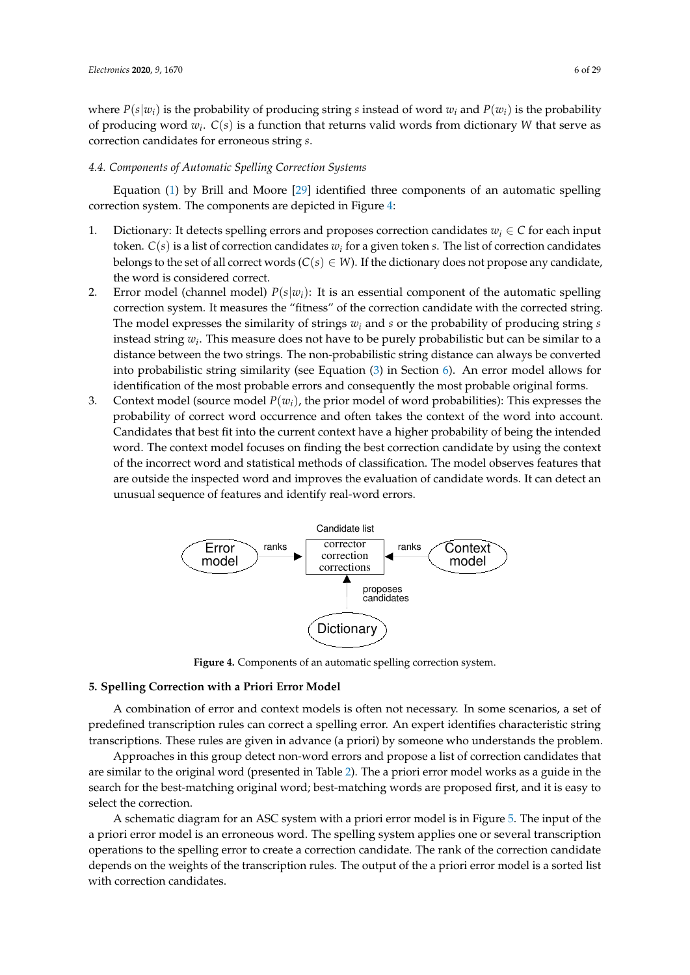where  $P(s|w_i)$  is the probability of producing string *s* instead of word  $w_i$  and  $P(w_i)$  is the probability of producing word  $w_i$ .  $C(s)$  is a function that returns valid words from dictionary W that serve as correction candidates for erroneous string *s*.

#### *4.4. Components of Automatic Spelling Correction Systems*

Equation [\(1\)](#page-4-1) by Brill and Moore [\[29\]](#page-21-19) identified three components of an automatic spelling correction system. The components are depicted in Figure [4:](#page-5-1)

- 1. Dictionary: It detects spelling errors and proposes correction candidates  $w_i \in C$  for each input token. *C*(*s*) is a list of correction candidates *w<sup>i</sup>* for a given token *s*. The list of correction candidates belongs to the set of all correct words ( $C(s) \in W$ ). If the dictionary does not propose any candidate, the word is considered correct.
- 2. Error model (channel model)  $P(s|w_i)$ : It is an essential component of the automatic spelling correction system. It measures the "fitness" of the correction candidate with the corrected string. The model expresses the similarity of strings *w<sup>i</sup>* and *s* or the probability of producing string *s* instead string *w<sup>i</sup>* . This measure does not have to be purely probabilistic but can be similar to a distance between the two strings. The non-probabilistic string distance can always be converted into probabilistic string similarity (see Equation  $(3)$  in Section [6\)](#page-7-0). An error model allows for identification of the most probable errors and consequently the most probable original forms.
- 3. Context model (source model *P*(*wi*), the prior model of word probabilities): This expresses the probability of correct word occurrence and often takes the context of the word into account. Candidates that best fit into the current context have a higher probability of being the intended word. The context model focuses on finding the best correction candidate by using the context of the incorrect word and statistical methods of classification. The model observes features that are outside the inspected word and improves the evaluation of candidate words. It can detect an unusual sequence of features and identify real-word errors.

<span id="page-5-1"></span>

**Figure 4.** Components of an automatic spelling correction system.

## <span id="page-5-0"></span>**5. Spelling Correction with a Priori Error Model**

A combination of error and context models is often not necessary. In some scenarios, a set of predefined transcription rules can correct a spelling error. An expert identifies characteristic string transcriptions. These rules are given in advance (a priori) by someone who understands the problem.

Approaches in this group detect non-word errors and propose a list of correction candidates that are similar to the original word (presented in Table [2\)](#page-6-0). The a priori error model works as a guide in the search for the best-matching original word; best-matching words are proposed first, and it is easy to select the correction.

A schematic diagram for an ASC system with a priori error model is in Figure [5.](#page-6-1) The input of the a priori error model is an erroneous word. The spelling system applies one or several transcription operations to the spelling error to create a correction candidate. The rank of the correction candidate depends on the weights of the transcription rules. The output of the a priori error model is a sorted list with correction candidates.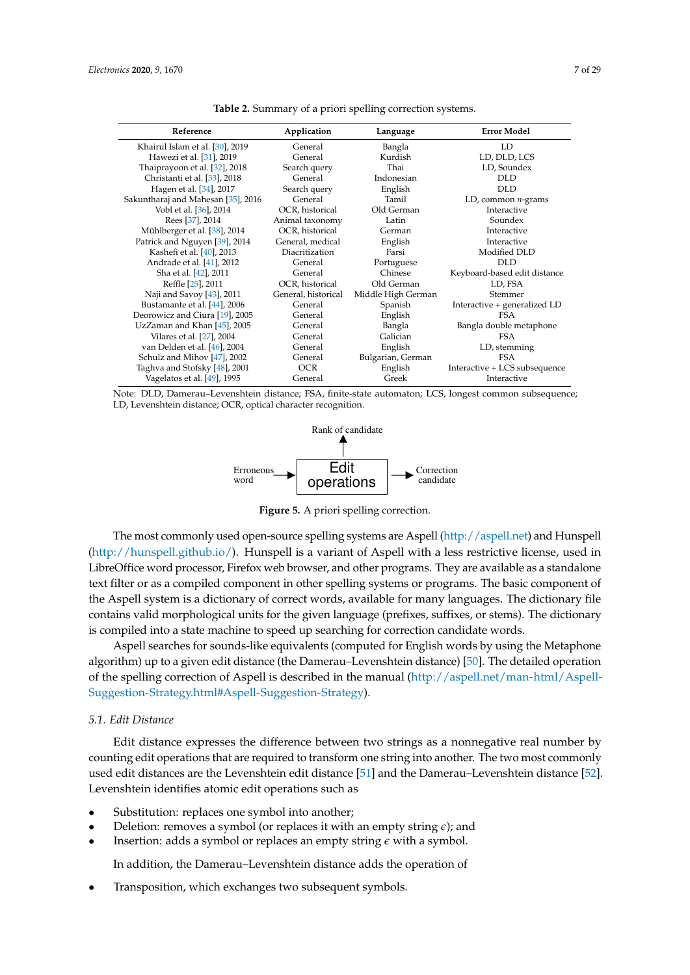<span id="page-6-0"></span>

| Reference                          | Application         | Language           | <b>Error Model</b>            |
|------------------------------------|---------------------|--------------------|-------------------------------|
| Khairul Islam et al. [30], 2019    | General             | Bangla             | LD                            |
| Hawezi et al. [31], 2019           | General             | Kurdish            | LD, DLD, LCS                  |
| Thaiprayoon et al. [32], 2018      | Search query        | Thai               | LD, Soundex                   |
| Christanti et al. [33], 2018       | General             | Indonesian         | <b>DLD</b>                    |
| Hagen et al. [34], 2017            | Search query        | English            | <b>DLD</b>                    |
| Sakuntharaj and Mahesan [35], 2016 | General             | Tamil              | LD, common $n$ -grams         |
| Vobl et al. [36], 2014             | OCR, historical     | Old German         | Interactive                   |
| Rees [37], 2014                    | Animal taxonomy     | Latin              | Soundex                       |
| Mühlberger et al. [38], 2014       | OCR, historical     | German             | Interactive                   |
| Patrick and Nguyen [39], 2014      | General, medical    | English            | Interactive                   |
| Kashefi et al. [40], 2013          | Diacritization      | Farsi              | Modified DLD                  |
| Andrade et al. [41], 2012          | General             | Portuguese         | <b>DLD</b>                    |
| Sha et al. [42], 2011              | General             | Chinese            | Keyboard-based edit distance  |
| Reffle [25], 2011                  | OCR, historical     | Old German         | LD, FSA                       |
| Naji and Savoy [43], 2011          | General, historical | Middle High German | Stemmer                       |
| Bustamante et al. [44], 2006       | General             | Spanish            | Interactive + generalized LD  |
| Deorowicz and Ciura [19], 2005     | General             | English            | <b>FSA</b>                    |
| UzZaman and Khan [45], 2005        | General             | Bangla             | Bangla double metaphone       |
| Vilares et al. [27], 2004          | General             | Galician           | <b>FSA</b>                    |
| van Delden et al. [46], 2004       | General             | English            | LD, stemming                  |
| Schulz and Mihov [47], 2002        | General             | Bulgarian, German  | <b>FSA</b>                    |
| Taghva and Stofsky [48], 2001      | <b>OCR</b>          | English            | Interactive + LCS subsequence |
| Vagelatos et al. [49], 1995        | General             | Greek              | Interactive                   |

**Table 2.** Summary of a priori spelling correction systems.

<span id="page-6-1"></span>



**Figure 5.** A priori spelling correction.

The most commonly used open-source spelling systems are Aspell [\(http://aspell.net\)](http://aspell.net) and Hunspell [\(http://hunspell.github.io/\)](http://hunspell.github.io/). Hunspell is a variant of Aspell with a less restrictive license, used in LibreOffice word processor, Firefox web browser, and other programs. They are available as a standalone text filter or as a compiled component in other spelling systems or programs. The basic component of the Aspell system is a dictionary of correct words, available for many languages. The dictionary file contains valid morphological units for the given language (prefixes, suffixes, or stems). The dictionary is compiled into a state machine to speed up searching for correction candidate words.

Aspell searches for sounds-like equivalents (computed for English words by using the Metaphone algorithm) up to a given edit distance (the Damerau–Levenshtein distance) [\[50\]](#page-23-0). The detailed operation of the spelling correction of Aspell is described in the manual [\(http://aspell.net/man-html/Aspell-](http://aspell.net/man-html/Aspell-Suggestion-Strategy.html#Aspell-Suggestion-Strategy)[Suggestion-Strategy.html#Aspell-Suggestion-Strategy\)](http://aspell.net/man-html/Aspell-Suggestion-Strategy.html#Aspell-Suggestion-Strategy).

## *5.1. Edit Distance*

Edit distance expresses the difference between two strings as a nonnegative real number by counting edit operations that are required to transform one string into another. The two most commonly used edit distances are the Levenshtein edit distance [\[51\]](#page-23-1) and the Damerau–Levenshtein distance [\[52\]](#page-23-2). Levenshtein identifies atomic edit operations such as

- Substitution: replaces one symbol into another;
- Deletion: removes a symbol (or replaces it with an empty string  $\epsilon$ ); and
- Insertion: adds a symbol or replaces an empty string *e* with a symbol.

In addition, the Damerau–Levenshtein distance adds the operation of

• Transposition, which exchanges two subsequent symbols.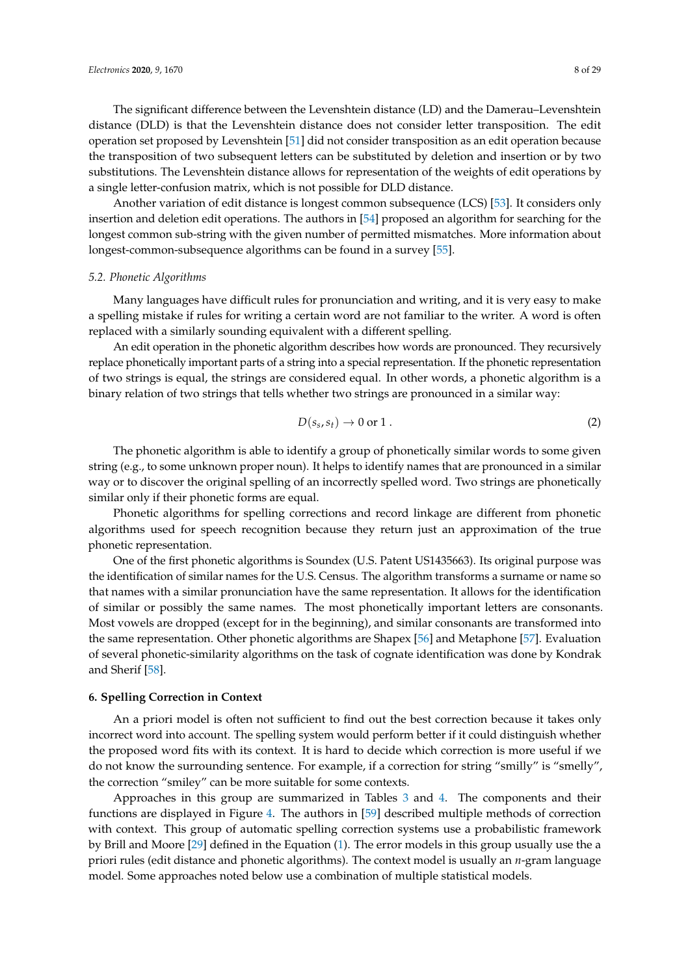The significant difference between the Levenshtein distance (LD) and the Damerau–Levenshtein distance (DLD) is that the Levenshtein distance does not consider letter transposition. The edit operation set proposed by Levenshtein [\[51\]](#page-23-1) did not consider transposition as an edit operation because the transposition of two subsequent letters can be substituted by deletion and insertion or by two substitutions. The Levenshtein distance allows for representation of the weights of edit operations by a single letter-confusion matrix, which is not possible for DLD distance.

Another variation of edit distance is longest common subsequence (LCS) [\[53\]](#page-23-3). It considers only insertion and deletion edit operations. The authors in [\[54\]](#page-23-4) proposed an algorithm for searching for the longest common sub-string with the given number of permitted mismatches. More information about longest-common-subsequence algorithms can be found in a survey [\[55\]](#page-23-5).

#### *5.2. Phonetic Algorithms*

Many languages have difficult rules for pronunciation and writing, and it is very easy to make a spelling mistake if rules for writing a certain word are not familiar to the writer. A word is often replaced with a similarly sounding equivalent with a different spelling.

An edit operation in the phonetic algorithm describes how words are pronounced. They recursively replace phonetically important parts of a string into a special representation. If the phonetic representation of two strings is equal, the strings are considered equal. In other words, a phonetic algorithm is a binary relation of two strings that tells whether two strings are pronounced in a similar way:

$$
D(s_s, s_t) \to 0 \text{ or } 1. \tag{2}
$$

The phonetic algorithm is able to identify a group of phonetically similar words to some given string (e.g., to some unknown proper noun). It helps to identify names that are pronounced in a similar way or to discover the original spelling of an incorrectly spelled word. Two strings are phonetically similar only if their phonetic forms are equal.

Phonetic algorithms for spelling corrections and record linkage are different from phonetic algorithms used for speech recognition because they return just an approximation of the true phonetic representation.

One of the first phonetic algorithms is Soundex [\(U.S. Patent US1435663\)](https://patents.google.com/patent/US1435663A/en). Its original purpose was the identification of similar names for the U.S. Census. The algorithm transforms a surname or name so that names with a similar pronunciation have the same representation. It allows for the identification of similar or possibly the same names. The most phonetically important letters are consonants. Most vowels are dropped (except for in the beginning), and similar consonants are transformed into the same representation. Other phonetic algorithms are Shapex [\[56\]](#page-23-6) and Metaphone [\[57\]](#page-23-7). Evaluation of several phonetic-similarity algorithms on the task of cognate identification was done by Kondrak and Sherif [\[58\]](#page-23-8).

#### <span id="page-7-0"></span>**6. Spelling Correction in Context**

An a priori model is often not sufficient to find out the best correction because it takes only incorrect word into account. The spelling system would perform better if it could distinguish whether the proposed word fits with its context. It is hard to decide which correction is more useful if we do not know the surrounding sentence. For example, if a correction for string "smilly" is "smelly", the correction "smiley" can be more suitable for some contexts.

Approaches in this group are summarized in Tables [3](#page-8-0) and [4.](#page-9-0) The components and their functions are displayed in Figure [4.](#page-5-1) The authors in [\[59\]](#page-23-9) described multiple methods of correction with context. This group of automatic spelling correction systems use a probabilistic framework by Brill and Moore [\[29\]](#page-21-19) defined in the Equation [\(1\)](#page-4-1). The error models in this group usually use the a priori rules (edit distance and phonetic algorithms). The context model is usually an *n*-gram language model. Some approaches noted below use a combination of multiple statistical models.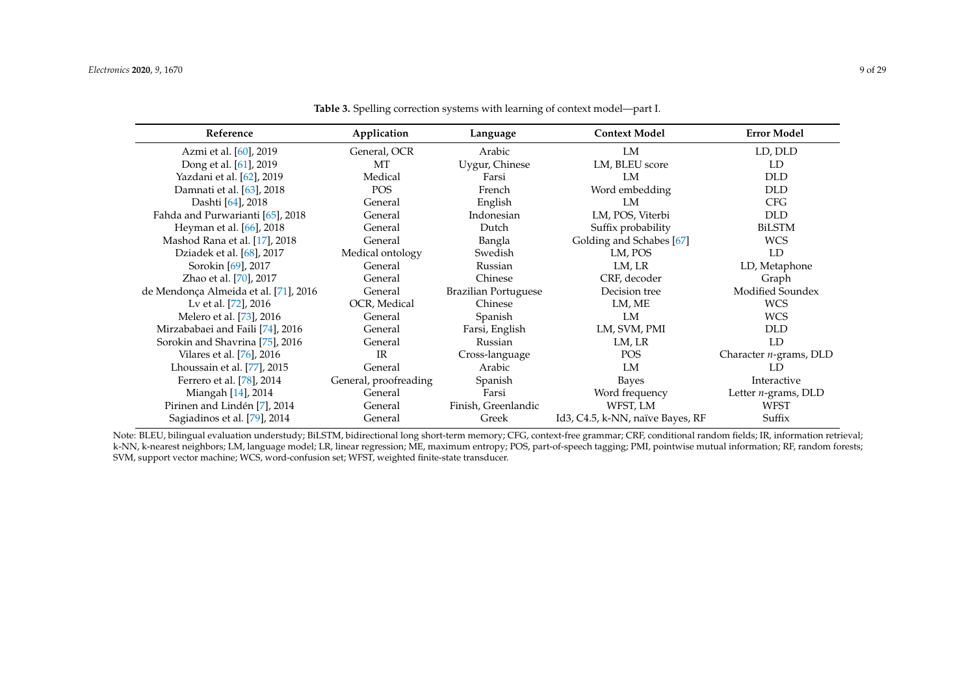| Reference                             | Application           | Language                    | <b>Context Model</b>             | <b>Error Model</b>             |
|---------------------------------------|-----------------------|-----------------------------|----------------------------------|--------------------------------|
| Azmi et al. [60], 2019                | General, OCR          | Arabic                      | LM                               | LD, DLD                        |
| Dong et al. [61], 2019                | MT                    | Uygur, Chinese              | LM, BLEU score                   | LD.                            |
| Yazdani et al. [62], 2019             | Medical               | Farsi                       | LM                               | <b>DLD</b>                     |
| Damnati et al. [63], 2018             | POS                   | French                      | Word embedding                   | <b>DLD</b>                     |
| Dashti [64], 2018                     | General               | English                     | LM                               | <b>CFG</b>                     |
| Fahda and Purwarianti [65], 2018      | General               | Indonesian                  | LM, POS, Viterbi                 | <b>DLD</b>                     |
| Heyman et al. [66], 2018              | General               | Dutch                       | Suffix probability               | <b>BiLSTM</b>                  |
| Mashod Rana et al. [17], 2018         | General               | Bangla                      | Golding and Schabes [67]         | <b>WCS</b>                     |
| Dziadek et al. [68], 2017             | Medical ontology      | Swedish                     | LM, POS                          | LD                             |
| Sorokin [69], 2017                    | General               | Russian                     | LM, LR                           | LD, Metaphone                  |
| Zhao et al. [70], 2017                | General               | Chinese                     | CRF, decoder                     | Graph                          |
| de Mendonça Almeida et al. [71], 2016 | General               | <b>Brazilian Portuguese</b> | Decision tree                    | Modified Soundex               |
| Lv et al. [72], 2016                  | OCR, Medical          | Chinese                     | LM, ME                           | <b>WCS</b>                     |
| Melero et al. [73], 2016              | General               | Spanish                     | LM                               | <b>WCS</b>                     |
| Mirzababaei and Faili [74], 2016      | General               | Farsi, English              | LM, SVM, PMI                     | <b>DLD</b>                     |
| Sorokin and Shavrina [75], 2016       | General               | Russian                     | LM, LR                           | LD                             |
| Vilares et al. [76], 2016             | IR                    | Cross-language              | <b>POS</b>                       | Character <i>n</i> -grams, DLD |
| Lhoussain et al. [77], 2015           | General               | Arabic                      | LM                               | LD                             |
| Ferrero et al. [78], 2014             | General, proofreading | Spanish                     | Bayes                            | Interactive                    |
| Miangah [14], 2014                    | General               | Farsi                       | Word frequency                   | Letter $n$ -grams, DLD         |
| Pirinen and Lindén [7], 2014          | General               | Finish, Greenlandic         | WFST, LM                         | <b>WFST</b>                    |
| Sagiadinos et al. [79], 2014          | General               | Greek                       | Id3, C4.5, k-NN, naïve Bayes, RF | Suffix                         |

**Table 3.** Spelling correction systems with learning of context model—part I.

<span id="page-8-0"></span>Note: BLEU, bilingual evaluation understudy; BiLSTM, bidirectional long short-term memory; CFG, context-free grammar; CRF, conditional random fields; IR, information retrieval; k-NN, k-nearest neighbors; LM, language model; LR, linear regression; ME, maximum entropy; POS, part-of-speech tagging; PMI, pointwise mutual information; RF, random forests; SVM, support vector machine; WCS, word-confusion set; WFST, weighted finite-state transducer.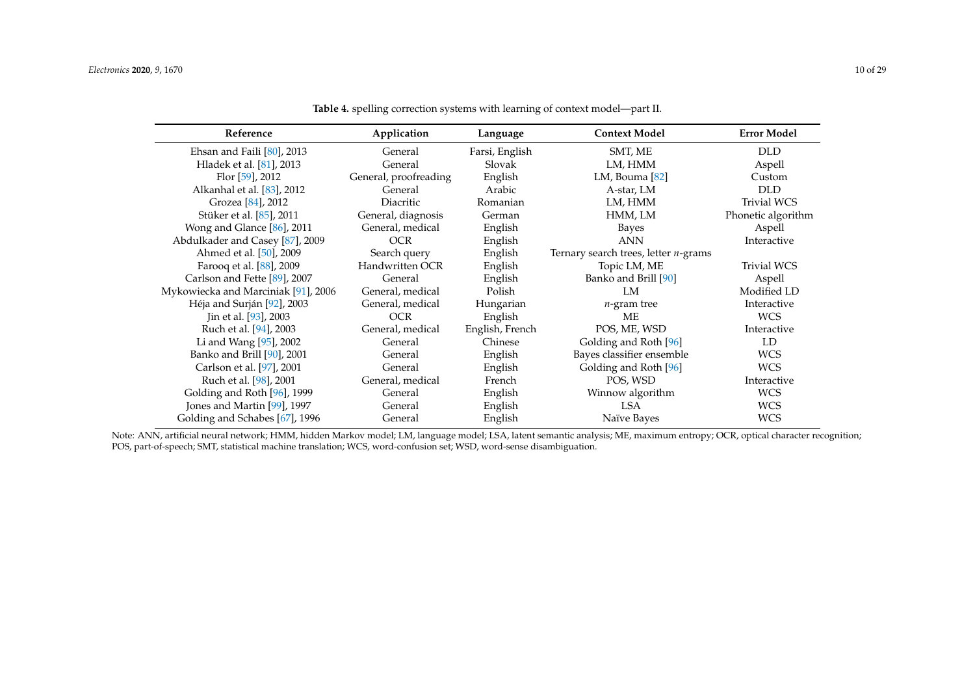| Reference                           | Application           | Language        | <b>Context Model</b>                    | <b>Error Model</b> |
|-------------------------------------|-----------------------|-----------------|-----------------------------------------|--------------------|
| Ehsan and Faili $[80]$ , 2013       | General               | Farsi, English  | SMT, ME                                 | <b>DLD</b>         |
| Hladek et al. [81], 2013            | General               | Slovak          | LM, HMM                                 | Aspell             |
| Flor $[59]$ , 2012                  | General, proofreading | English         | LM, Bouma [82]                          | Custom             |
| Alkanhal et al. [83], 2012          | General               | Arabic          | A-star, LM                              | <b>DLD</b>         |
| Grozea [84], 2012                   | Diacritic             | Romanian        | LM, HMM                                 | <b>Trivial WCS</b> |
| Stüker et al. [85], 2011            | General, diagnosis    | German          | HMM, LM                                 | Phonetic algorithm |
| Wong and Glance [86], 2011          | General, medical      | English         | Bayes                                   | Aspell             |
| Abdulkader and Casey [87], 2009     | <b>OCR</b>            | English         | <b>ANN</b>                              | Interactive        |
| Ahmed et al. [50], 2009             | Search query          | English         | Ternary search trees, letter $n$ -grams |                    |
| Farooq et al. [88], 2009            | Handwritten OCR       | English         | Topic LM, ME                            | <b>Trivial WCS</b> |
| Carlson and Fette [89], 2007        | General               | English         | Banko and Brill [90]                    | Aspell             |
| Mykowiecka and Marciniak [91], 2006 | General, medical      | Polish          | LM                                      | Modified LD        |
| Héja and Surján [92], 2003          | General, medical      | Hungarian       | $n$ -gram tree                          | Interactive        |
| Jin et al. [93], 2003               | <b>OCR</b>            | English         | ME                                      | <b>WCS</b>         |
| Ruch et al. [94], 2003              | General, medical      | English, French | POS, ME, WSD                            | Interactive        |
| Li and Wang [95], 2002              | General               | Chinese         | Golding and Roth [96]                   | LD                 |
| Banko and Brill [90], 2001          | General               | English         | Bayes classifier ensemble               | <b>WCS</b>         |
| Carlson et al. [97], 2001           | General               | English         | Golding and Roth [96]                   | <b>WCS</b>         |
| Ruch et al. [98], 2001              | General, medical      | French          | POS, WSD                                | Interactive        |
| Golding and Roth [96], 1999         | General               | English         | Winnow algorithm                        | <b>WCS</b>         |
| Jones and Martin [99], 1997         | General               | English         | <b>LSA</b>                              | <b>WCS</b>         |
| Golding and Schabes [67], 1996      | General               | English         | Naïve Bayes                             | <b>WCS</b>         |

**Table 4.** spelling correction systems with learning of context model—part II.

<span id="page-9-0"></span>Note: ANN, artificial neural network; HMM, hidden Markov model; LM, language model; LSA, latent semantic analysis; ME, maximum entropy; OCR, optical character recognition; POS, part-of-speech; SMT, statistical machine translation; WCS, word-confusion set; WSD, word-sense disambiguation.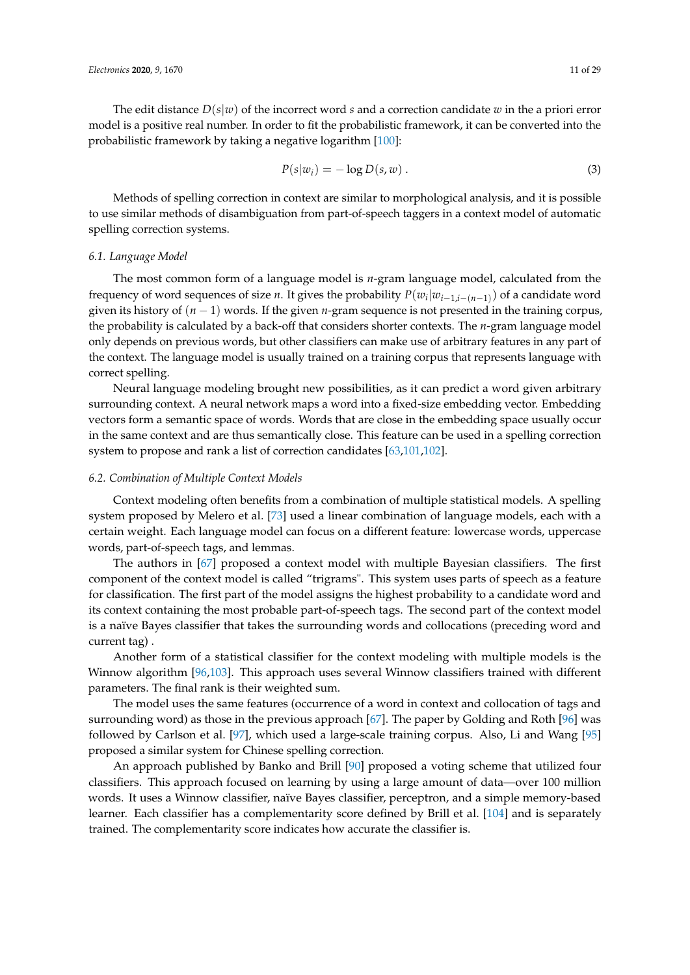The edit distance  $D(s|w)$  of the incorrect word *s* and a correction candidate *w* in the a priori error model is a positive real number. In order to fit the probabilistic framework, it can be converted into the probabilistic framework by taking a negative logarithm [\[100\]](#page-25-7):

<span id="page-10-0"></span>
$$
P(s|w_i) = -\log D(s, w) \tag{3}
$$

Methods of spelling correction in context are similar to morphological analysis, and it is possible to use similar methods of disambiguation from part-of-speech taggers in a context model of automatic spelling correction systems.

#### *6.1. Language Model*

The most common form of a language model is *n*-gram language model, calculated from the frequency of word sequences of size *n*. It gives the probability *P*(*w<sup>i</sup>* |*wi*−1,*i*−(*n*−1) ) of a candidate word given its history of (*n* − 1) words. If the given *n*-gram sequence is not presented in the training corpus, the probability is calculated by a back-off that considers shorter contexts. The *n*-gram language model only depends on previous words, but other classifiers can make use of arbitrary features in any part of the context. The language model is usually trained on a training corpus that represents language with correct spelling.

Neural language modeling brought new possibilities, as it can predict a word given arbitrary surrounding context. A neural network maps a word into a fixed-size embedding vector. Embedding vectors form a semantic space of words. Words that are close in the embedding space usually occur in the same context and are thus semantically close. This feature can be used in a spelling correction system to propose and rank a list of correction candidates [\[63,](#page-23-24)[101,](#page-25-8)[102\]](#page-25-9).

#### *6.2. Combination of Multiple Context Models*

Context modeling often benefits from a combination of multiple statistical models. A spelling system proposed by Melero et al. [\[73\]](#page-24-20) used a linear combination of language models, each with a certain weight. Each language model can focus on a different feature: lowercase words, uppercase words, part-of-speech tags, and lemmas.

The authors in [\[67\]](#page-23-25) proposed a context model with multiple Bayesian classifiers. The first component of the context model is called "trigrams". This system uses parts of speech as a feature for classification. The first part of the model assigns the highest probability to a candidate word and its context containing the most probable part-of-speech tags. The second part of the context model is a naïve Bayes classifier that takes the surrounding words and collocations (preceding word and current tag) .

Another form of a statistical classifier for the context modeling with multiple models is the Winnow algorithm [\[96,](#page-25-10)[103\]](#page-25-11). This approach uses several Winnow classifiers trained with different parameters. The final rank is their weighted sum.

The model uses the same features (occurrence of a word in context and collocation of tags and surrounding word) as those in the previous approach [\[67\]](#page-23-25). The paper by Golding and Roth [\[96\]](#page-25-10) was followed by Carlson et al. [\[97\]](#page-25-12), which used a large-scale training corpus. Also, Li and Wang [\[95\]](#page-25-13) proposed a similar system for Chinese spelling correction.

An approach published by Banko and Brill [\[90\]](#page-24-21) proposed a voting scheme that utilized four classifiers. This approach focused on learning by using a large amount of data—over 100 million words. It uses a Winnow classifier, naïve Bayes classifier, perceptron, and a simple memory-based learner. Each classifier has a complementarity score defined by Brill et al. [\[104\]](#page-25-14) and is separately trained. The complementarity score indicates how accurate the classifier is.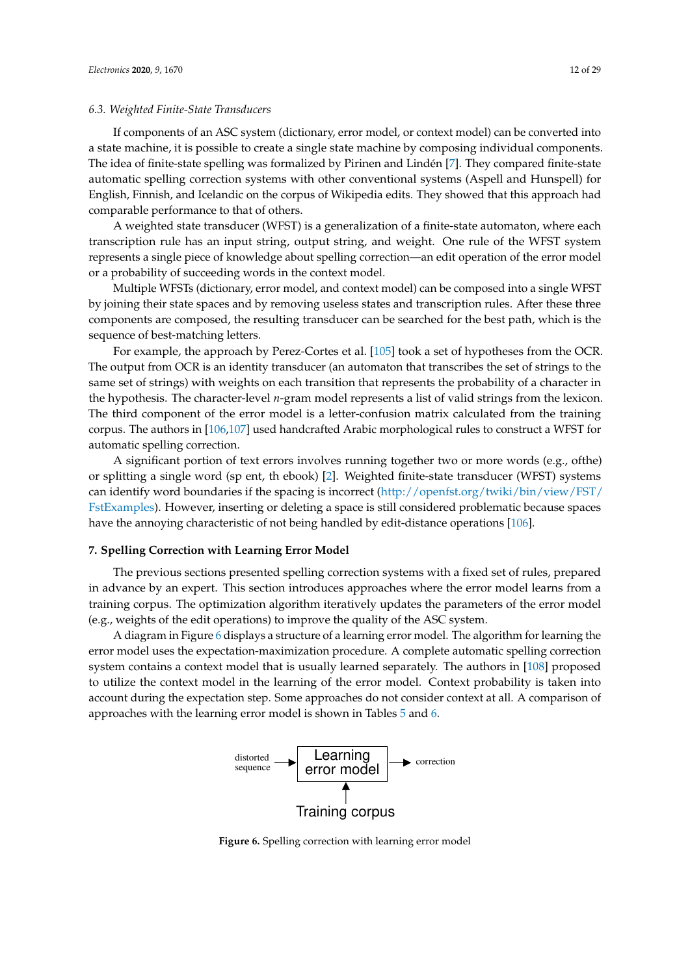#### *6.3. Weighted Finite-State Transducers*

If components of an ASC system (dictionary, error model, or context model) can be converted into a state machine, it is possible to create a single state machine by composing individual components. The idea of finite-state spelling was formalized by Pirinen and Lindén [\[7\]](#page-20-6). They compared finite-state automatic spelling correction systems with other conventional systems (Aspell and Hunspell) for English, Finnish, and Icelandic on the corpus of Wikipedia edits. They showed that this approach had comparable performance to that of others.

A weighted state transducer (WFST) is a generalization of a finite-state automaton, where each transcription rule has an input string, output string, and weight. One rule of the WFST system represents a single piece of knowledge about spelling correction—an edit operation of the error model or a probability of succeeding words in the context model.

Multiple WFSTs (dictionary, error model, and context model) can be composed into a single WFST by joining their state spaces and by removing useless states and transcription rules. After these three components are composed, the resulting transducer can be searched for the best path, which is the sequence of best-matching letters.

For example, the approach by Perez-Cortes et al. [\[105\]](#page-25-15) took a set of hypotheses from the OCR. The output from OCR is an identity transducer (an automaton that transcribes the set of strings to the same set of strings) with weights on each transition that represents the probability of a character in the hypothesis. The character-level *n*-gram model represents a list of valid strings from the lexicon. The third component of the error model is a letter-confusion matrix calculated from the training corpus. The authors in [\[106](#page-25-16)[,107\]](#page-25-17) used handcrafted Arabic morphological rules to construct a WFST for automatic spelling correction.

A significant portion of text errors involves running together two or more words (e.g., ofthe) or splitting a single word (sp ent, th ebook) [\[2\]](#page-20-1). Weighted finite-state transducer (WFST) systems can identify word boundaries if the spacing is incorrect [\(http://openfst.org/twiki/bin/view/FST/](http://openfst.org/twiki/bin/view/FST/FstExamples) [FstExamples\)](http://openfst.org/twiki/bin/view/FST/FstExamples). However, inserting or deleting a space is still considered problematic because spaces have the annoying characteristic of not being handled by edit-distance operations [\[106\]](#page-25-16).

### <span id="page-11-0"></span>**7. Spelling Correction with Learning Error Model**

The previous sections presented spelling correction systems with a fixed set of rules, prepared in advance by an expert. This section introduces approaches where the error model learns from a training corpus. The optimization algorithm iteratively updates the parameters of the error model (e.g., weights of the edit operations) to improve the quality of the ASC system.

<span id="page-11-1"></span>A diagram in Figure [6](#page-11-1) displays a structure of a learning error model. The algorithm for learning the error model uses the expectation-maximization procedure. A complete automatic spelling correction system contains a context model that is usually learned separately. The authors in [\[108\]](#page-25-18) proposed to utilize the context model in the learning of the error model. Context probability is taken into account during the expectation step. Some approaches do not consider context at all. A comparison of approaches with the learning error model is shown in Tables [5](#page-12-0) and [6.](#page-13-0)



**Figure 6.** Spelling correction with learning error model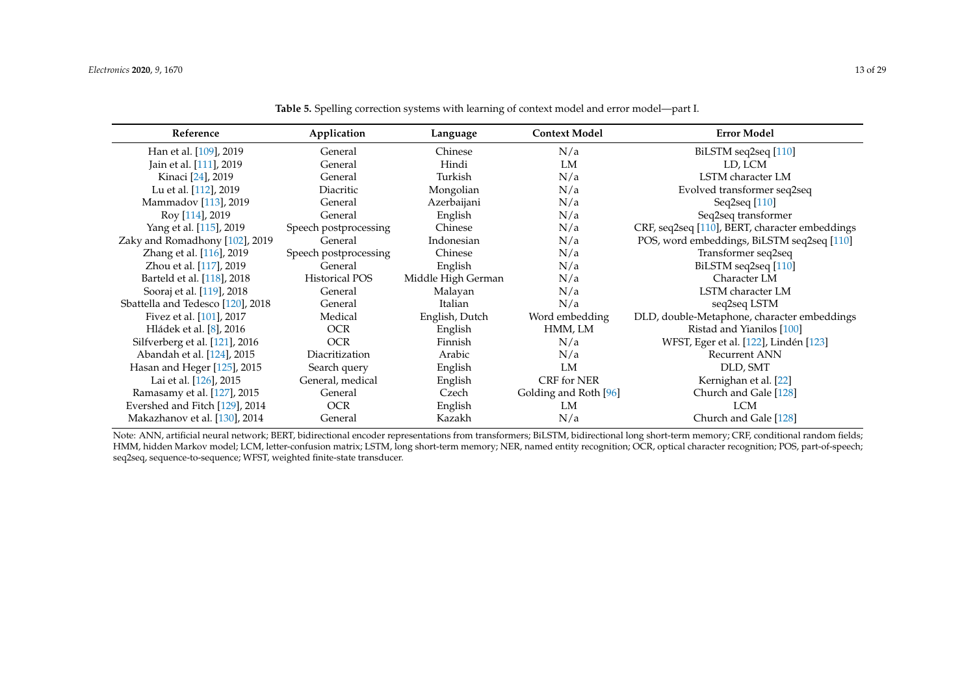| Reference                         | Application           | Language           | <b>Context Model</b>  | <b>Error Model</b>                             |
|-----------------------------------|-----------------------|--------------------|-----------------------|------------------------------------------------|
| Han et al. [109], 2019            | General               | Chinese            | N/a                   | BiLSTM seq2seq [110]                           |
| Jain et al. [111], 2019           | General               | Hindi              | LM                    | LD, LCM                                        |
| Kinaci [24], 2019                 | General               | Turkish            | N/a                   | LSTM character LM                              |
| Lu et al. [112], 2019             | Diacritic             | Mongolian          | N/a                   | Evolved transformer seq2seq                    |
| Mammadov [113], 2019              | General               | Azerbaijani        | N/a                   | Seq2seq [110]                                  |
| Roy [114], 2019                   | General               | English            | N/a                   | Seq2seq transformer                            |
| Yang et al. [115], 2019           | Speech postprocessing | Chinese            | N/a                   | CRF, seq2seq [110], BERT, character embeddings |
| Zaky and Romadhony [102], 2019    | General               | Indonesian         | N/a                   | POS, word embeddings, BiLSTM seq2seq [110]     |
| Zhang et al. [116], 2019          | Speech postprocessing | Chinese            | N/a                   | Transformer seq2seq                            |
| Zhou et al. [117], 2019           | General               | English            | N/a                   | BiLSTM seq2seq [110]                           |
| Barteld et al. [118], 2018        | <b>Historical POS</b> | Middle High German | N/a                   | Character LM                                   |
| Sooraj et al. [119], 2018         | General               | Malayan            | N/a                   | LSTM character LM                              |
| Sbattella and Tedesco [120], 2018 | General               | Italian            | N/a                   | seq2seq LSTM                                   |
| Fivez et al. [101], 2017          | Medical               | English, Dutch     | Word embedding        | DLD, double-Metaphone, character embeddings    |
| Hládek et al. [8], 2016           | <b>OCR</b>            | English            | HMM, LM               | Ristad and Yianilos [100]                      |
| Silfverberg et al. $[121]$ , 2016 | <b>OCR</b>            | Finnish            | N/a                   | WFST, Eger et al. [122], Lindén [123]          |
| Abandah et al. [124], 2015        | Diacritization        | Arabic             | N/a                   | Recurrent ANN                                  |
| Hasan and Heger [125], 2015       | Search query          | English            | LM                    | DLD, SMT                                       |
| Lai et al. [126], 2015            | General, medical      | English            | CRF for NER           | Kernighan et al. [22]                          |
| Ramasamy et al. [127], 2015       | General               | Czech              | Golding and Roth [96] | Church and Gale [128]                          |
| Evershed and Fitch [129], 2014    | <b>OCR</b>            | English            | LM                    | <b>LCM</b>                                     |
| Makazhanov et al. [130], 2014     | General               | Kazakh             | N/a                   | Church and Gale [128]                          |

Table 5. Spelling correction systems with learning of context model and error model—part I.

<span id="page-12-0"></span>Note: ANN, artificial neural network; BERT, bidirectional encoder representations from transformers; BiLSTM, bidirectional long short-term memory; CRF, conditional random fields; HMM, hidden Markov model; LCM, letter-confusion matrix; LSTM, long short-term memory; NER, named entity recognition; OCR, optical character recognition; POS, part-of-speech; seq2seq, sequence-to-sequence; WFST, weighted finite-state transducer.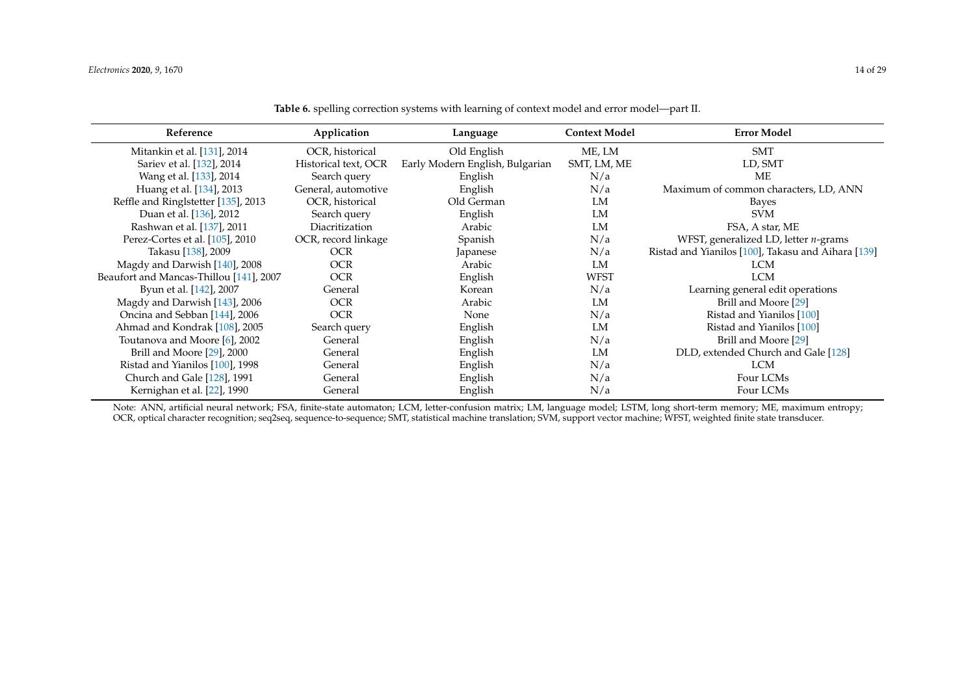| Reference                               | Application          | Language                        | <b>Context Model</b> | <b>Error Model</b>                                 |
|-----------------------------------------|----------------------|---------------------------------|----------------------|----------------------------------------------------|
| Mitankin et al. [131], 2014             | OCR, historical      | Old English                     | ME, LM               | <b>SMT</b>                                         |
| Sariev et al. [132], 2014               | Historical text, OCR | Early Modern English, Bulgarian | SMT, LM, ME          | LD, SMT                                            |
| Wang et al. [133], 2014                 | Search query         | English                         | N/a                  | МE                                                 |
| Huang et al. [134], 2013                | General, automotive  | English                         | N/a                  | Maximum of common characters, LD, ANN              |
| Reffle and Ringlstetter [135], 2013     | OCR, historical      | Old German                      | LM                   | Bayes                                              |
| Duan et al. [136], 2012                 | Search query         | English                         | LM                   | <b>SVM</b>                                         |
| Rashwan et al. [137], 2011              | Diacritization       | Arabic                          | LM                   | FSA, A star, ME                                    |
| Perez-Cortes et al. [105], 2010         | OCR, record linkage  | Spanish                         | N/a                  | WFST, generalized LD, letter $n$ -grams            |
| Takasu [138], 2009                      | <b>OCR</b>           | Japanese                        | N/a                  | Ristad and Yianilos [100], Takasu and Aihara [139] |
| Magdy and Darwish [140], 2008           | <b>OCR</b>           | Arabic                          | LM                   | LCM                                                |
| Beaufort and Mancas-Thillou [141], 2007 | <b>OCR</b>           | English                         | <b>WFST</b>          | <b>LCM</b>                                         |
| Byun et al. [142], 2007                 | General              | Korean                          | N/a                  | Learning general edit operations                   |
| Magdy and Darwish [143], 2006           | <b>OCR</b>           | Arabic                          | LM                   | Brill and Moore [29]                               |
| Oncina and Sebban [144], 2006           | <b>OCR</b>           | None                            | N/a                  | Ristad and Yianilos [100]                          |
| Ahmad and Kondrak [108], 2005           | Search query         | English                         | LM                   | Ristad and Yianilos [100]                          |
| Toutanova and Moore [6], 2002           | General              | English                         | N/a                  | Brill and Moore [29]                               |
| Brill and Moore [29], 2000              | General              | English                         | LM                   | DLD, extended Church and Gale [128]                |
| Ristad and Yianilos [100], 1998         | General              | English                         | N/a                  | <b>LCM</b>                                         |
| Church and Gale [128], 1991             | General              | English                         | N/a                  | Four LCMs                                          |
| Kernighan et al. [22], 1990             | General              | English                         | N/a                  | Four LCMs                                          |

Table 6. spelling correction systems with learning of context model and error model—part II.

<span id="page-13-0"></span>Note: ANN, artificial neural network; FSA, finite-state automaton; LCM, letter-confusion matrix; LM, language model; LSTM, long short-term memory; ME, maximum entropy; OCR, optical character recognition; seq2seq, sequence-to-sequence; SMT, statistical machine translation; SVM, support vector machine; WFST, weighted finite state transducer.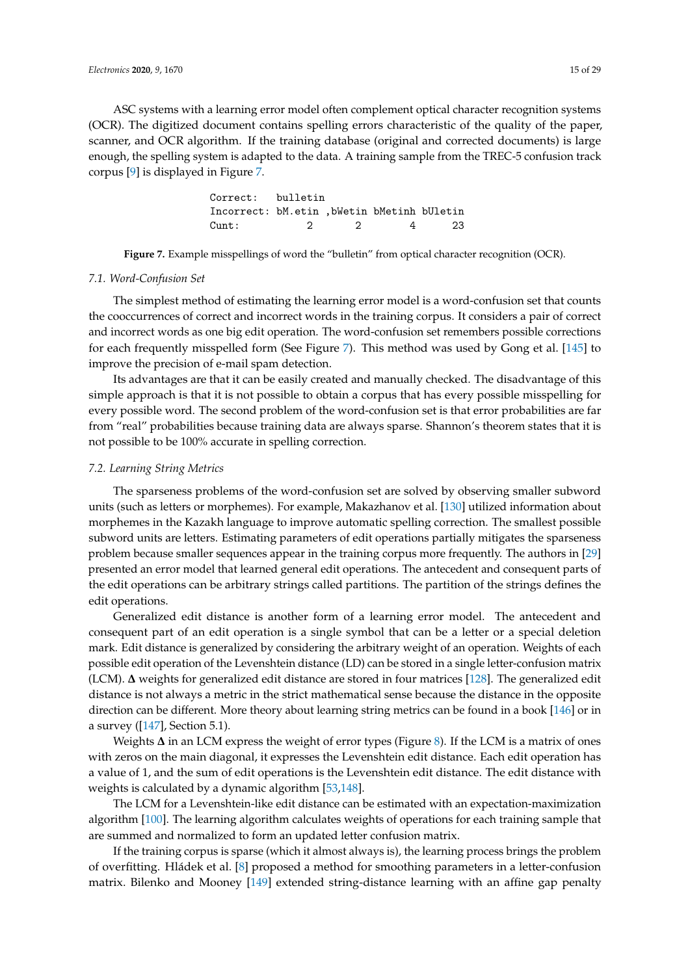ASC systems with a learning error model often complement optical character recognition systems (OCR). The digitized document contains spelling errors characteristic of the quality of the paper, scanner, and OCR algorithm. If the training database (original and corrected documents) is large enough, the spelling system is adapted to the data. A training sample from the TREC-5 confusion track corpus [\[9\]](#page-20-8) is displayed in Figure [7.](#page-14-0)

> Correct: bulletin Incorrect: bM.etin ,bWetin bMetinh bUletin Cunt: 2 2 4 23

<span id="page-14-0"></span>**Figure 7.** Example misspellings of word the "bulletin" from optical character recognition (OCR).

## *7.1. Word-Confusion Set*

The simplest method of estimating the learning error model is a word-confusion set that counts the cooccurrences of correct and incorrect words in the training corpus. It considers a pair of correct and incorrect words as one big edit operation. The word-confusion set remembers possible corrections for each frequently misspelled form (See Figure [7\)](#page-14-0). This method was used by Gong et al. [\[145\]](#page-27-15) to improve the precision of e-mail spam detection.

Its advantages are that it can be easily created and manually checked. The disadvantage of this simple approach is that it is not possible to obtain a corpus that has every possible misspelling for every possible word. The second problem of the word-confusion set is that error probabilities are far from "real" probabilities because training data are always sparse. Shannon's theorem states that it is not possible to be 100% accurate in spelling correction.

## *7.2. Learning String Metrics*

The sparseness problems of the word-confusion set are solved by observing smaller subword units (such as letters or morphemes). For example, Makazhanov et al. [\[130\]](#page-27-16) utilized information about morphemes in the Kazakh language to improve automatic spelling correction. The smallest possible subword units are letters. Estimating parameters of edit operations partially mitigates the sparseness problem because smaller sequences appear in the training corpus more frequently. The authors in [\[29\]](#page-21-19) presented an error model that learned general edit operations. The antecedent and consequent parts of the edit operations can be arbitrary strings called partitions. The partition of the strings defines the edit operations.

Generalized edit distance is another form of a learning error model. The antecedent and consequent part of an edit operation is a single symbol that can be a letter or a special deletion mark. Edit distance is generalized by considering the arbitrary weight of an operation. Weights of each possible edit operation of the Levenshtein distance (LD) can be stored in a single letter-confusion matrix (LCM). **∆** weights for generalized edit distance are stored in four matrices [\[128\]](#page-26-19). The generalized edit distance is not always a metric in the strict mathematical sense because the distance in the opposite direction can be different. More theory about learning string metrics can be found in a book [\[146\]](#page-27-17) or in a survey ([\[147\]](#page-27-18), Section 5.1).

Weights **∆** in an LCM express the weight of error types (Figure [8\)](#page-15-0). If the LCM is a matrix of ones with zeros on the main diagonal, it expresses the Levenshtein edit distance. Each edit operation has a value of 1, and the sum of edit operations is the Levenshtein edit distance. The edit distance with weights is calculated by a dynamic algorithm [\[53,](#page-23-3)[148\]](#page-28-0).

The LCM for a Levenshtein-like edit distance can be estimated with an expectation-maximization algorithm [\[100\]](#page-25-7). The learning algorithm calculates weights of operations for each training sample that are summed and normalized to form an updated letter confusion matrix.

If the training corpus is sparse (which it almost always is), the learning process brings the problem of overfitting. Hládek et al. [\[8\]](#page-20-7) proposed a method for smoothing parameters in a letter-confusion matrix. Bilenko and Mooney [\[149\]](#page-28-1) extended string-distance learning with an affine gap penalty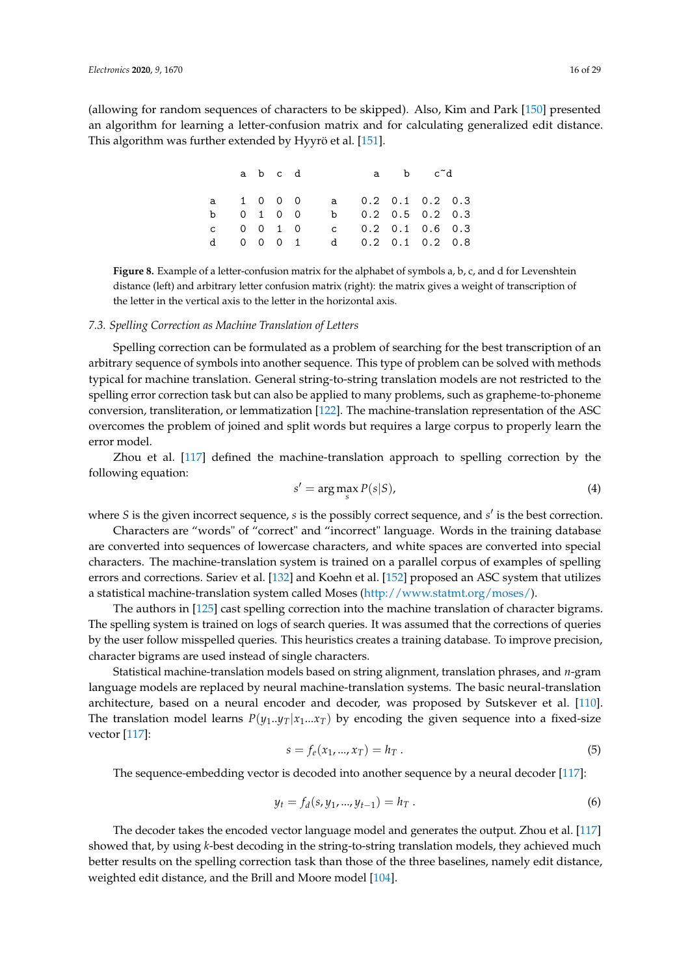<span id="page-15-0"></span>(allowing for random sequences of characters to be skipped). Also, Kim and Park [\[150\]](#page-28-2) presented an algorithm for learning a letter-confusion matrix and for calculating generalized edit distance. This algorithm was further extended by Hyyrö et al. [\[151\]](#page-28-3).

|  | a b c d |  |                             |  | a b c~d |  |
|--|---------|--|-----------------------------|--|---------|--|
|  |         |  | a 1 0 0 0 a 0.2 0.1 0.2 0.3 |  |         |  |
|  |         |  | b 0 1 0 0 b 0.2 0.5 0.2 0.3 |  |         |  |
|  |         |  | c 0 0 1 0 c 0.2 0.1 0.6 0.3 |  |         |  |
|  |         |  | d 0 0 0 1 d 0.2 0.1 0.2 0.8 |  |         |  |

**Figure 8.** Example of a letter-confusion matrix for the alphabet of symbols a, b, c, and d for Levenshtein distance (left) and arbitrary letter confusion matrix (right): the matrix gives a weight of transcription of the letter in the vertical axis to the letter in the horizontal axis.

#### *7.3. Spelling Correction as Machine Translation of Letters*

Spelling correction can be formulated as a problem of searching for the best transcription of an arbitrary sequence of symbols into another sequence. This type of problem can be solved with methods typical for machine translation. General string-to-string translation models are not restricted to the spelling error correction task but can also be applied to many problems, such as grapheme-to-phoneme conversion, transliteration, or lemmatization [\[122\]](#page-26-20). The machine-translation representation of the ASC overcomes the problem of joined and split words but requires a large corpus to properly learn the error model.

Zhou et al. [\[117\]](#page-26-21) defined the machine-translation approach to spelling correction by the following equation:

<span id="page-15-1"></span>
$$
s' = \arg\max_{s} P(s|S),\tag{4}
$$

where *S* is the given incorrect sequence, *s* is the possibly correct sequence, and *s'* is the best correction.

Characters are "words" of "correct" and "incorrect" language. Words in the training database are converted into sequences of lowercase characters, and white spaces are converted into special characters. The machine-translation system is trained on a parallel corpus of examples of spelling errors and corrections. Sariev et al. [\[132\]](#page-27-19) and Koehn et al. [\[152\]](#page-28-4) proposed an ASC system that utilizes a statistical machine-translation system called Moses [\(http://www.statmt.org/moses/\)](http://www.statmt.org/moses/).

The authors in [\[125\]](#page-26-22) cast spelling correction into the machine translation of character bigrams. The spelling system is trained on logs of search queries. It was assumed that the corrections of queries by the user follow misspelled queries. This heuristics creates a training database. To improve precision, character bigrams are used instead of single characters.

Statistical machine-translation models based on string alignment, translation phrases, and *n*-gram language models are replaced by neural machine-translation systems. The basic neural-translation architecture, based on a neural encoder and decoder, was proposed by Sutskever et al. [\[110\]](#page-25-26). The translation model learns  $P(y_1..y_T|x_1...x_T)$  by encoding the given sequence into a fixed-size vector [\[117\]](#page-26-21):

$$
s = f_e(x_1, ..., x_T) = h_T.
$$
 (5)

The sequence-embedding vector is decoded into another sequence by a neural decoder [\[117\]](#page-26-21):

$$
y_t = f_d(s, y_1, ..., y_{t-1}) = h_T.
$$
\n(6)

The decoder takes the encoded vector language model and generates the output. Zhou et al. [\[117\]](#page-26-21) showed that, by using *k*-best decoding in the string-to-string translation models, they achieved much better results on the spelling correction task than those of the three baselines, namely edit distance, weighted edit distance, and the Brill and Moore model [\[104\]](#page-25-14).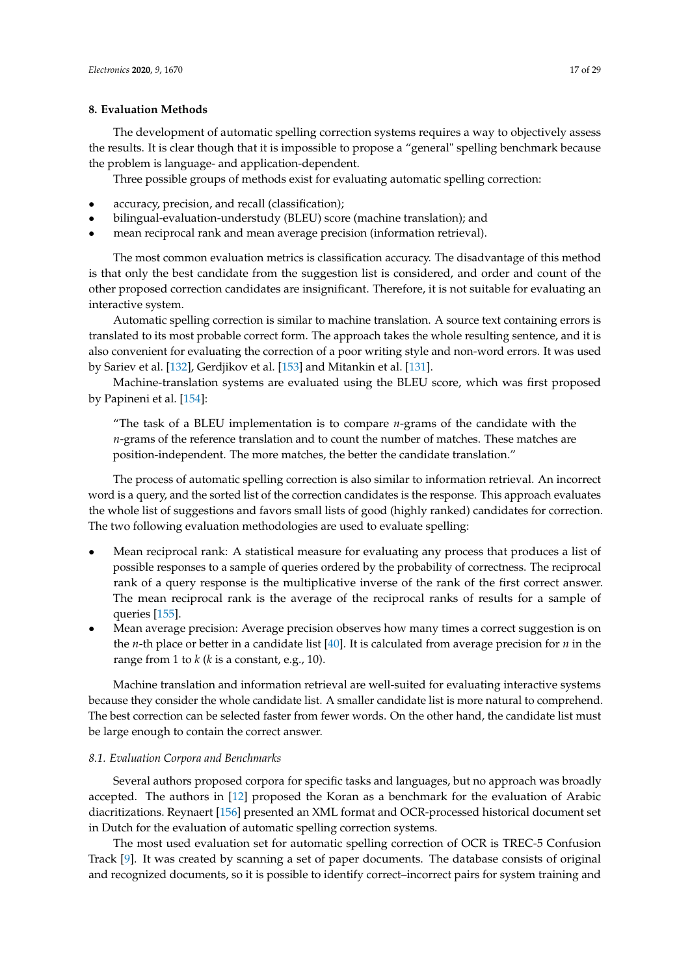#### <span id="page-16-0"></span>**8. Evaluation Methods**

The development of automatic spelling correction systems requires a way to objectively assess the results. It is clear though that it is impossible to propose a "general" spelling benchmark because the problem is language- and application-dependent.

Three possible groups of methods exist for evaluating automatic spelling correction:

- accuracy, precision, and recall (classification);
- bilingual-evaluation-understudy (BLEU) score (machine translation); and
- mean reciprocal rank and mean average precision (information retrieval).

The most common evaluation metrics is classification accuracy. The disadvantage of this method is that only the best candidate from the suggestion list is considered, and order and count of the other proposed correction candidates are insignificant. Therefore, it is not suitable for evaluating an interactive system.

Automatic spelling correction is similar to machine translation. A source text containing errors is translated to its most probable correct form. The approach takes the whole resulting sentence, and it is also convenient for evaluating the correction of a poor writing style and non-word errors. It was used by Sariev et al. [\[132\]](#page-27-19), Gerdjikov et al. [\[153\]](#page-28-5) and Mitankin et al. [\[131\]](#page-27-20).

Machine-translation systems are evaluated using the BLEU score, which was first proposed by Papineni et al. [\[154\]](#page-28-6):

"The task of a BLEU implementation is to compare *n*-grams of the candidate with the *n*-grams of the reference translation and to count the number of matches. These matches are position-independent. The more matches, the better the candidate translation."

The process of automatic spelling correction is also similar to information retrieval. An incorrect word is a query, and the sorted list of the correction candidates is the response. This approach evaluates the whole list of suggestions and favors small lists of good (highly ranked) candidates for correction. The two following evaluation methodologies are used to evaluate spelling:

- Mean reciprocal rank: A statistical measure for evaluating any process that produces a list of possible responses to a sample of queries ordered by the probability of correctness. The reciprocal rank of a query response is the multiplicative inverse of the rank of the first correct answer. The mean reciprocal rank is the average of the reciprocal ranks of results for a sample of queries [\[155\]](#page-28-7).
- Mean average precision: Average precision observes how many times a correct suggestion is on the *n*-th place or better in a candidate list [\[40\]](#page-22-8). It is calculated from average precision for *n* in the range from 1 to *k* (*k* is a constant, e.g., 10).

Machine translation and information retrieval are well-suited for evaluating interactive systems because they consider the whole candidate list. A smaller candidate list is more natural to comprehend. The best correction can be selected faster from fewer words. On the other hand, the candidate list must be large enough to contain the correct answer.

#### *8.1. Evaluation Corpora and Benchmarks*

Several authors proposed corpora for specific tasks and languages, but no approach was broadly accepted. The authors in [\[12\]](#page-21-2) proposed the Koran as a benchmark for the evaluation of Arabic diacritizations. Reynaert [\[156\]](#page-28-8) presented an XML format and OCR-processed historical document set in Dutch for the evaluation of automatic spelling correction systems.

The most used evaluation set for automatic spelling correction of OCR is TREC-5 Confusion Track [\[9\]](#page-20-8). It was created by scanning a set of paper documents. The database consists of original and recognized documents, so it is possible to identify correct–incorrect pairs for system training and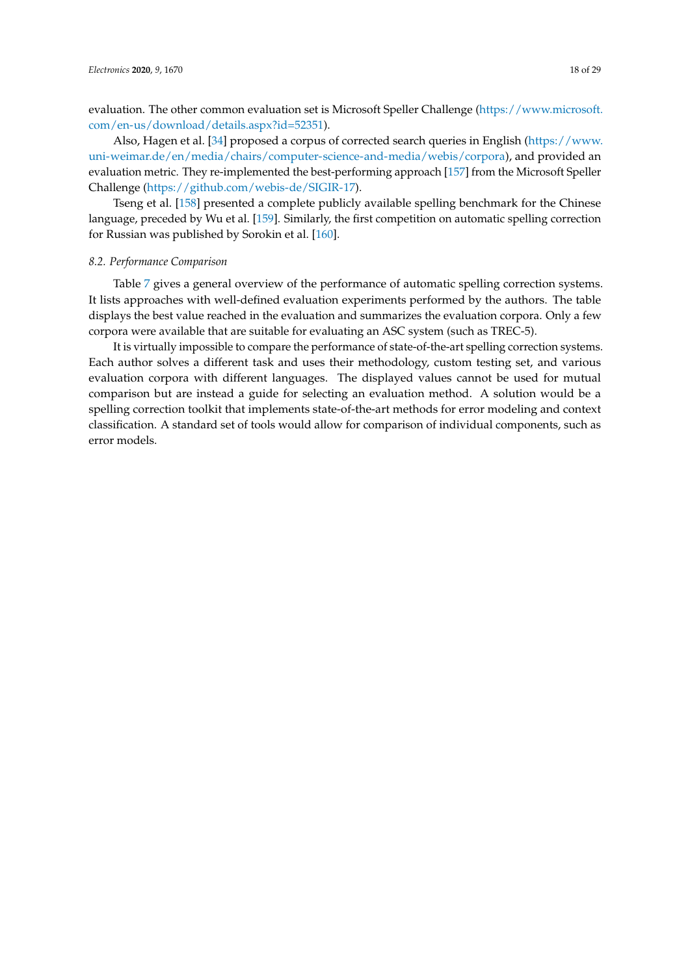evaluation. The other common evaluation set is Microsoft Speller Challenge [\(https://www.microsoft.](https://www.microsoft.com/en-us/download/details.aspx?id=52351) [com/en-us/download/details.aspx?id=52351\)](https://www.microsoft.com/en-us/download/details.aspx?id=52351).

Also, Hagen et al. [\[34\]](#page-22-2) proposed a corpus of corrected search queries in English [\(https://www.](https://www.uni-weimar.de/en/media/chairs/computer-science-and-media/webis/corpora) [uni-weimar.de/en/media/chairs/computer-science-and-media/webis/corpora\)](https://www.uni-weimar.de/en/media/chairs/computer-science-and-media/webis/corpora), and provided an evaluation metric. They re-implemented the best-performing approach [\[157\]](#page-28-9) from the Microsoft Speller Challenge [\(https://github.com/webis-de/SIGIR-17\)](https://github.com/webis-de/SIGIR-17).

Tseng et al. [\[158\]](#page-28-10) presented a complete publicly available spelling benchmark for the Chinese language, preceded by Wu et al. [\[159\]](#page-28-11). Similarly, the first competition on automatic spelling correction for Russian was published by Sorokin et al. [\[160\]](#page-28-12).

#### *8.2. Performance Comparison*

Table [7](#page-18-0) gives a general overview of the performance of automatic spelling correction systems. It lists approaches with well-defined evaluation experiments performed by the authors. The table displays the best value reached in the evaluation and summarizes the evaluation corpora. Only a few corpora were available that are suitable for evaluating an ASC system (such as TREC-5).

It is virtually impossible to compare the performance of state-of-the-art spelling correction systems. Each author solves a different task and uses their methodology, custom testing set, and various evaluation corpora with different languages. The displayed values cannot be used for mutual comparison but are instead a guide for selecting an evaluation method. A solution would be a spelling correction toolkit that implements state-of-the-art methods for error modeling and context classification. A standard set of tools would allow for comparison of individual components, such as error models.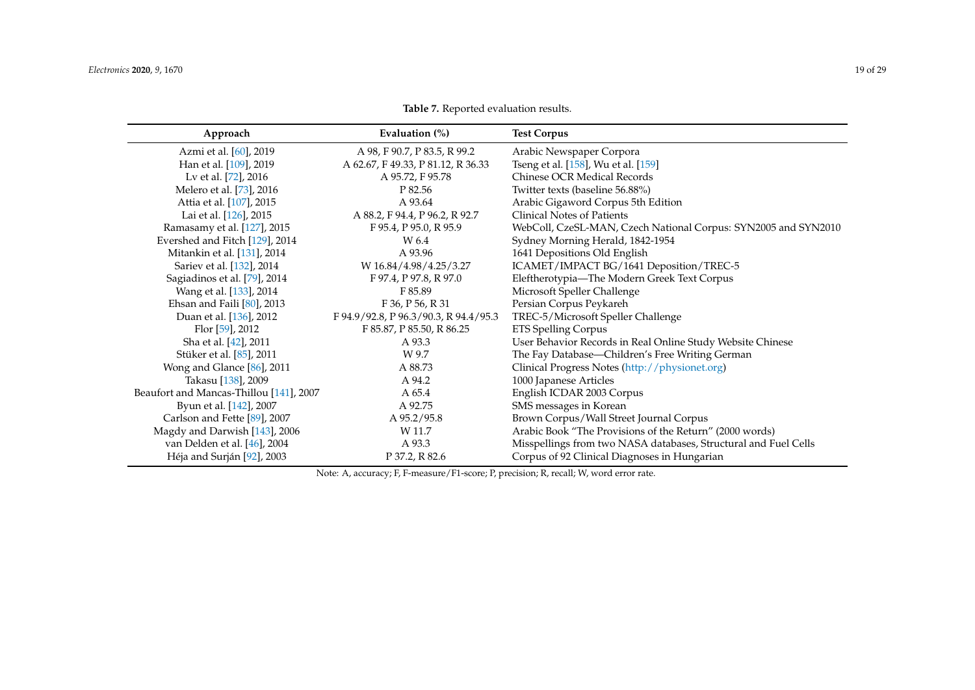| Approach                                | Evaluation $(\%)$                     | <b>Test Corpus</b>                                              |
|-----------------------------------------|---------------------------------------|-----------------------------------------------------------------|
| Azmi et al. [60], 2019                  | A 98, F 90.7, P 83.5, R 99.2          | Arabic Newspaper Corpora                                        |
| Han et al. [109], 2019                  | A 62.67, F 49.33, P 81.12, R 36.33    | Tseng et al. [158], Wu et al. [159]                             |
| Lv et al. [72], 2016                    | A 95.72, F 95.78                      | Chinese OCR Medical Records                                     |
| Melero et al. [73], 2016                | P 82.56                               | Twitter texts (baseline 56.88%)                                 |
| Attia et al. [107], 2015                | A 93.64                               | Arabic Gigaword Corpus 5th Edition                              |
| Lai et al. [126], 2015                  | A 88.2, F 94.4, P 96.2, R 92.7        | Clinical Notes of Patients                                      |
| Ramasamy et al. [127], 2015             | F 95.4, P 95.0, R 95.9                | WebColl, CzeSL-MAN, Czech National Corpus: SYN2005 and SYN2010  |
| Evershed and Fitch [129], 2014          | W 6.4                                 | Sydney Morning Herald, 1842-1954                                |
| Mitankin et al. [131], 2014             | A 93.96                               | 1641 Depositions Old English                                    |
| Sariev et al. [132], 2014               | W 16.84/4.98/4.25/3.27                | ICAMET/IMPACT BG/1641 Deposition/TREC-5                         |
| Sagiadinos et al. [79], 2014            | F 97.4, P 97.8, R 97.0                | Eleftherotypia-The Modern Greek Text Corpus                     |
| Wang et al. [133], 2014                 | F 85.89                               | Microsoft Speller Challenge                                     |
| Ehsan and Faili $[80]$ , 2013           | F 36, P 56, R 31                      | Persian Corpus Peykareh                                         |
| Duan et al. [136], 2012                 | F 94.9/92.8, P 96.3/90.3, R 94.4/95.3 | TREC-5/Microsoft Speller Challenge                              |
| Flor [59], 2012                         | F 85.87, P 85.50, R 86.25             | <b>ETS Spelling Corpus</b>                                      |
| Sha et al. [42], 2011                   | A 93.3                                | User Behavior Records in Real Online Study Website Chinese      |
| Stüker et al. [85], 2011                | W 9.7                                 | The Fay Database-Children's Free Writing German                 |
| Wong and Glance [86], 2011              | A 88.73                               | Clinical Progress Notes (http://physionet.org)                  |
| Takasu [138], 2009                      | A 94.2                                | 1000 Japanese Articles                                          |
| Beaufort and Mancas-Thillou [141], 2007 | A 65.4                                | English ICDAR 2003 Corpus                                       |
| Byun et al. [142], 2007                 | A 92.75                               | SMS messages in Korean                                          |
| Carlson and Fette [89], 2007            | A 95.2/95.8                           | Brown Corpus/Wall Street Journal Corpus                         |
| Magdy and Darwish [143], 2006           | W 11.7                                | Arabic Book "The Provisions of the Return" (2000 words)         |
| van Delden et al. [46], 2004            | A 93.3                                | Misspellings from two NASA databases, Structural and Fuel Cells |
| Héja and Surján [92], 2003              | P 37.2, R 82.6                        | Corpus of 92 Clinical Diagnoses in Hungarian                    |

**Table 7.** Reported evaluation results.

<span id="page-18-0"></span>Note: A, accuracy; F, F-measure/F1-score; P, precision; R, recall; W, word error rate.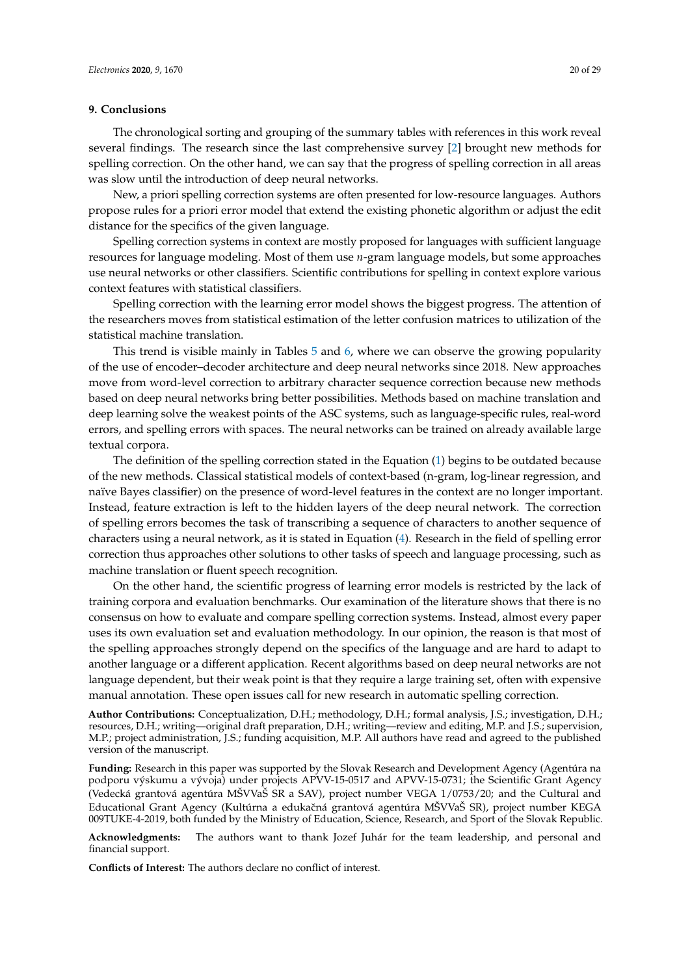#### <span id="page-19-0"></span>**9. Conclusions**

The chronological sorting and grouping of the summary tables with references in this work reveal several findings. The research since the last comprehensive survey [\[2\]](#page-20-1) brought new methods for spelling correction. On the other hand, we can say that the progress of spelling correction in all areas was slow until the introduction of deep neural networks.

New, a priori spelling correction systems are often presented for low-resource languages. Authors propose rules for a priori error model that extend the existing phonetic algorithm or adjust the edit distance for the specifics of the given language.

Spelling correction systems in context are mostly proposed for languages with sufficient language resources for language modeling. Most of them use *n*-gram language models, but some approaches use neural networks or other classifiers. Scientific contributions for spelling in context explore various context features with statistical classifiers.

Spelling correction with the learning error model shows the biggest progress. The attention of the researchers moves from statistical estimation of the letter confusion matrices to utilization of the statistical machine translation.

This trend is visible mainly in Tables [5](#page-12-0) and [6,](#page-13-0) where we can observe the growing popularity of the use of encoder–decoder architecture and deep neural networks since 2018. New approaches move from word-level correction to arbitrary character sequence correction because new methods based on deep neural networks bring better possibilities. Methods based on machine translation and deep learning solve the weakest points of the ASC systems, such as language-specific rules, real-word errors, and spelling errors with spaces. The neural networks can be trained on already available large textual corpora.

The definition of the spelling correction stated in the Equation [\(1\)](#page-4-1) begins to be outdated because of the new methods. Classical statistical models of context-based (n-gram, log-linear regression, and naïve Bayes classifier) on the presence of word-level features in the context are no longer important. Instead, feature extraction is left to the hidden layers of the deep neural network. The correction of spelling errors becomes the task of transcribing a sequence of characters to another sequence of characters using a neural network, as it is stated in Equation [\(4\)](#page-15-1). Research in the field of spelling error correction thus approaches other solutions to other tasks of speech and language processing, such as machine translation or fluent speech recognition.

On the other hand, the scientific progress of learning error models is restricted by the lack of training corpora and evaluation benchmarks. Our examination of the literature shows that there is no consensus on how to evaluate and compare spelling correction systems. Instead, almost every paper uses its own evaluation set and evaluation methodology. In our opinion, the reason is that most of the spelling approaches strongly depend on the specifics of the language and are hard to adapt to another language or a different application. Recent algorithms based on deep neural networks are not language dependent, but their weak point is that they require a large training set, often with expensive manual annotation. These open issues call for new research in automatic spelling correction.

**Author Contributions:** Conceptualization, D.H.; methodology, D.H.; formal analysis, J.S.; investigation, D.H.; resources, D.H.; writing—original draft preparation, D.H.; writing—review and editing, M.P. and J.S.; supervision, M.P.; project administration, J.S.; funding acquisition, M.P. All authors have read and agreed to the published version of the manuscript.

**Funding:** Research in this paper was supported by the Slovak Research and Development Agency (Agentúra na podporu výskumu a vývoja) under projects APVV-15-0517 and APVV-15-0731; the Scientific Grant Agency (Vedecká grantová agentúra MŠVVaŠ SR a SAV), project number VEGA 1/0753/20; and the Cultural and Educational Grant Agency (Kultúrna a edukačná grantová agentúra MŠVVaŠ SR), project number KEGA 009TUKE-4-2019, both funded by the Ministry of Education, Science, Research, and Sport of the Slovak Republic.

**Acknowledgments:** The authors want to thank Jozef Juhár for the team leadership, and personal and financial support.

**Conflicts of Interest:** The authors declare no conflict of interest.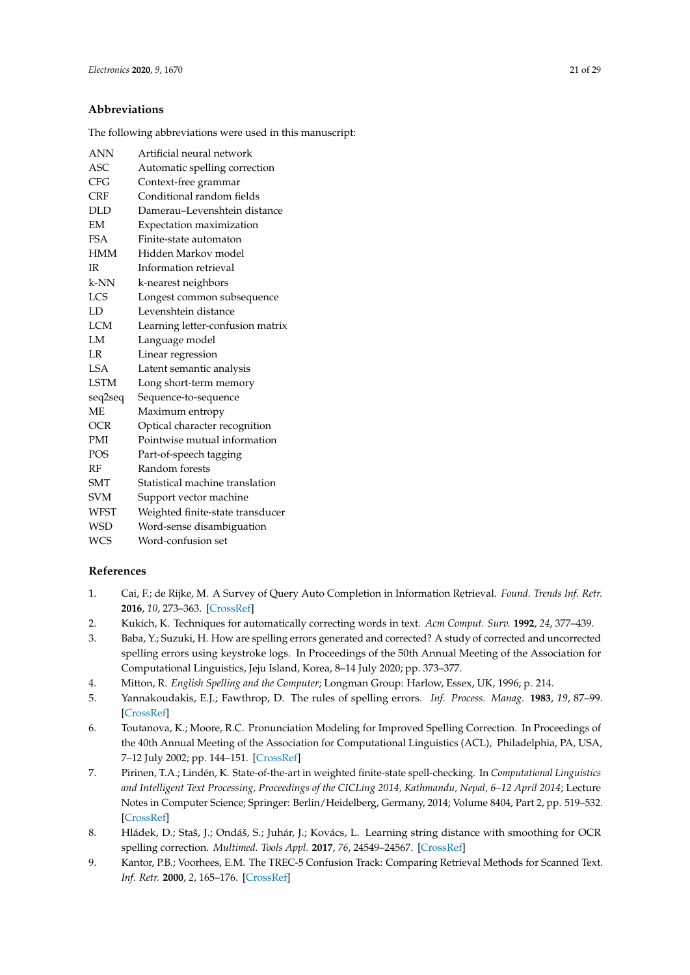## **Abbreviations**

The following abbreviations were used in this manuscript:

| <b>ANN</b>  | Artificial neural network        |
|-------------|----------------------------------|
| <b>ASC</b>  | Automatic spelling correction    |
| <b>CFG</b>  | Context-free grammar             |
| <b>CRF</b>  | Conditional random fields        |
| <b>DLD</b>  | Damerau-Levenshtein distance     |
| EM          | Expectation maximization         |
| <b>FSA</b>  | Finite-state automaton           |
| <b>HMM</b>  | Hidden Markov model              |
| IR          | Information retrieval            |
| $k-NN$      | k-nearest neighbors              |
| <b>LCS</b>  | Longest common subsequence       |
| LD          | Levenshtein distance             |
| <b>LCM</b>  | Learning letter-confusion matrix |
| LM          | Language model                   |
| LR          | Linear regression                |
| <b>LSA</b>  | Latent semantic analysis         |
| <b>LSTM</b> | Long short-term memory           |
| seq2seq     | Sequence-to-sequence             |
| ME.         | Maximum entropy                  |
| <b>OCR</b>  | Optical character recognition    |
| <b>PMI</b>  | Pointwise mutual information     |
| POS         | Part-of-speech tagging           |
| RF          | Random forests                   |
| <b>SMT</b>  | Statistical machine translation  |
| <b>SVM</b>  | Support vector machine           |
| <b>WFST</b> | Weighted finite-state transducer |
| <b>WSD</b>  | Word-sense disambiguation        |
| <b>WCS</b>  | Word-confusion set               |

## <span id="page-20-11"></span><span id="page-20-10"></span><span id="page-20-9"></span>**References**

- <span id="page-20-0"></span>1. Cai, F.; de Rijke, M. A Survey of Query Auto Completion in Information Retrieval. *Found. Trends Inf. Retr.* **2016**, *10*, 273–363. [\[CrossRef\]](http://dx.doi.org/10.1561/1500000055)
- <span id="page-20-1"></span>2. Kukich, K. Techniques for automatically correcting words in text. *Acm Comput. Surv.* **1992**, *24*, 377–439.
- <span id="page-20-2"></span>3. Baba, Y.; Suzuki, H. How are spelling errors generated and corrected? A study of corrected and uncorrected spelling errors using keystroke logs. In Proceedings of the 50th Annual Meeting of the Association for Computational Linguistics, Jeju Island, Korea, 8–14 July 2020; pp. 373–377.
- <span id="page-20-3"></span>4. Mitton, R. *English Spelling and the Computer*; Longman Group: Harlow, Essex, UK, 1996; p. 214.
- <span id="page-20-4"></span>5. Yannakoudakis, E.J.; Fawthrop, D. The rules of spelling errors. *Inf. Process. Manag.* **1983**, *19*, 87–99. [\[CrossRef\]](http://dx.doi.org/10.1016/0306-4573(83)90045-6)
- <span id="page-20-5"></span>6. Toutanova, K.; Moore, R.C. Pronunciation Modeling for Improved Spelling Correction. In Proceedings of the 40th Annual Meeting of the Association for Computational Linguistics (ACL), Philadelphia, PA, USA, 7–12 July 2002; pp. 144–151. [\[CrossRef\]](http://dx.doi.org/10.3115/1073083.1073109)
- <span id="page-20-6"></span>7. Pirinen, T.A.; Lindén, K. State-of-the-art in weighted finite-state spell-checking. In *Computational Linguistics and Intelligent Text Processing, Proceedings of the CICLing 2014, Kathmandu, Nepal, 6–12 April 2014*; Lecture Notes in Computer Science; Springer: Berlin/Heidelberg, Germany, 2014; Volume 8404, Part 2, pp. 519–532. [\[CrossRef\]](http://dx.doi.org/10.1007/978-3-642-54903-8_43)
- <span id="page-20-7"></span>8. Hládek, D.; Staš, J.; Ondáš, S.; Juhár, J.; Kovács, L. Learning string distance with smoothing for OCR spelling correction. *Multimed. Tools Appl.* **2017**, *76*, 24549–24567. [\[CrossRef\]](http://dx.doi.org/10.1007/s11042-016-4185-5)
- <span id="page-20-8"></span>9. Kantor, P.B.; Voorhees, E.M. The TREC-5 Confusion Track: Comparing Retrieval Methods for Scanned Text. *Inf. Retr.* **2000**, *2*, 165–176. [\[CrossRef\]](http://dx.doi.org/10.1023/A:1009902609570)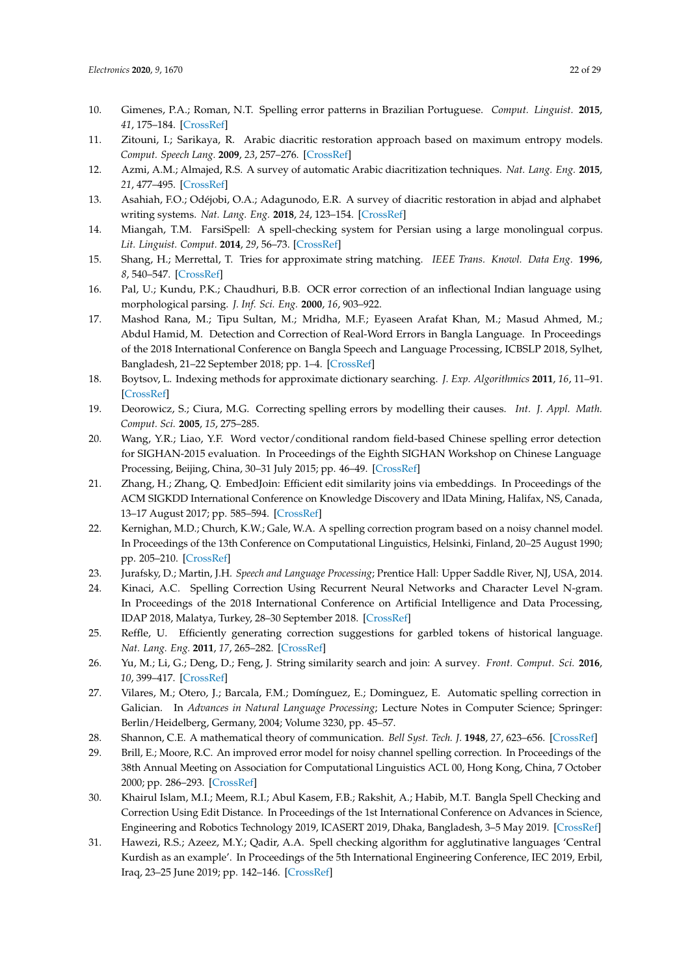- <span id="page-21-23"></span><span id="page-21-22"></span><span id="page-21-0"></span>10. Gimenes, P.A.; Roman, N.T. Spelling error patterns in Brazilian Portuguese. *Comput. Linguist.* **2015**, *41*, 175–184. [\[CrossRef\]](http://dx.doi.org/10.1162/COLI_a_00216)
- <span id="page-21-1"></span>11. Zitouni, I.; Sarikaya, R. Arabic diacritic restoration approach based on maximum entropy models. *Comput. Speech Lang.* **2009**, *23*, 257–276. [\[CrossRef\]](http://dx.doi.org/10.1016/j.csl.2008.06.001)
- <span id="page-21-2"></span>12. Azmi, A.M.; Almajed, R.S. A survey of automatic Arabic diacritization techniques. *Nat. Lang. Eng.* **2015**, *21*, 477–495. [\[CrossRef\]](http://dx.doi.org/10.1017/S1351324913000284)
- <span id="page-21-3"></span>13. Asahiah, F.O.; Odéjobi, O.A.; Adagunodo, E.R. A survey of diacritic restoration in abjad and alphabet writing systems. *Nat. Lang. Eng.* **2018**, *24*, 123–154. [\[CrossRef\]](http://dx.doi.org/10.1017/S1351324917000407)
- <span id="page-21-25"></span><span id="page-21-4"></span>14. Miangah, T.M. FarsiSpell: A spell-checking system for Persian using a large monolingual corpus. *Lit. Linguist. Comput.* **2014**, *29*, 56–73. [\[CrossRef\]](http://dx.doi.org/10.1093/llc/fqt008)
- <span id="page-21-5"></span>15. Shang, H.; Merrettal, T. Tries for approximate string matching. *IEEE Trans. Knowl. Data Eng.* **1996**, *8*, 540–547. [\[CrossRef\]](http://dx.doi.org/10.1109/69.536247)
- <span id="page-21-24"></span><span id="page-21-6"></span>16. Pal, U.; Kundu, P.K.; Chaudhuri, B.B. OCR error correction of an inflectional Indian language using morphological parsing. *J. Inf. Sci. Eng.* **2000**, *16*, 903–922.
- <span id="page-21-7"></span>17. Mashod Rana, M.; Tipu Sultan, M.; Mridha, M.F.; Eyaseen Arafat Khan, M.; Masud Ahmed, M.; Abdul Hamid, M. Detection and Correction of Real-Word Errors in Bangla Language. In Proceedings of the 2018 International Conference on Bangla Speech and Language Processing, ICBSLP 2018, Sylhet, Bangladesh, 21–22 September 2018; pp. 1–4. [\[CrossRef\]](http://dx.doi.org/10.1109/ICBSLP.2018.8554502)
- <span id="page-21-8"></span>18. Boytsov, L. Indexing methods for approximate dictionary searching. *J. Exp. Algorithmics* **2011**, *16*, 11–91. [\[CrossRef\]](http://dx.doi.org/10.1145/1963190.1963191)
- <span id="page-21-9"></span>19. Deorowicz, S.; Ciura, M.G. Correcting spelling errors by modelling their causes. *Int. J. Appl. Math. Comput. Sci.* **2005**, *15*, 275–285.
- <span id="page-21-26"></span><span id="page-21-10"></span>20. Wang, Y.R.; Liao, Y.F. Word vector/conditional random field-based Chinese spelling error detection for SIGHAN-2015 evaluation. In Proceedings of the Eighth SIGHAN Workshop on Chinese Language Processing, Beijing, China, 30–31 July 2015; pp. 46–49. [\[CrossRef\]](http://dx.doi.org/10.18653/v1/W15-3108)
- <span id="page-21-11"></span>21. Zhang, H.; Zhang, Q. EmbedJoin: Efficient edit similarity joins via embeddings. In Proceedings of the ACM SIGKDD International Conference on Knowledge Discovery and lData Mining, Halifax, NS, Canada, 13–17 August 2017; pp. 585–594. [\[CrossRef\]](http://dx.doi.org/10.1145/3097983.3098003)
- <span id="page-21-12"></span>22. Kernighan, M.D.; Church, K.W.; Gale, W.A. A spelling correction program based on a noisy channel model. In Proceedings of the 13th Conference on Computational Linguistics, Helsinki, Finland, 20–25 August 1990; pp. 205–210. [\[CrossRef\]](http://dx.doi.org/10.3115/997939.997975)
- <span id="page-21-13"></span>23. Jurafsky, D.; Martin, J.H. *Speech and Language Processing*; Prentice Hall: Upper Saddle River, NJ, USA, 2014.
- <span id="page-21-14"></span>24. Kinaci, A.C. Spelling Correction Using Recurrent Neural Networks and Character Level N-gram. In Proceedings of the 2018 International Conference on Artificial Intelligence and Data Processing, IDAP 2018, Malatya, Turkey, 28–30 September 2018. [\[CrossRef\]](http://dx.doi.org/10.1109/IDAP.2018.8620899)
- <span id="page-21-15"></span>25. Reffle, U. Efficiently generating correction suggestions for garbled tokens of historical language. *Nat. Lang. Eng.* **2011**, *17*, 265–282. [\[CrossRef\]](http://dx.doi.org/10.1017/S1351324911000039)
- <span id="page-21-16"></span>26. Yu, M.; Li, G.; Deng, D.; Feng, J. String similarity search and join: A survey. *Front. Comput. Sci.* **2016**, *10*, 399–417. [\[CrossRef\]](http://dx.doi.org/10.1007/s11704-015-5900-5)
- <span id="page-21-17"></span>27. Vilares, M.; Otero, J.; Barcala, F.M.; Domínguez, E.; Dominguez, E. Automatic spelling correction in Galician. In *Advances in Natural Language Processing*; Lecture Notes in Computer Science; Springer: Berlin/Heidelberg, Germany, 2004; Volume 3230, pp. 45–57.
- <span id="page-21-18"></span>28. Shannon, C.E. A mathematical theory of communication. *Bell Syst. Tech. J.* **1948**, *27*, 623–656. [\[CrossRef\]](http://dx.doi.org/10.1002/j.1538-7305.1948.tb00917.x)
- <span id="page-21-19"></span>29. Brill, E.; Moore, R.C. An improved error model for noisy channel spelling correction. In Proceedings of the 38th Annual Meeting on Association for Computational Linguistics ACL 00, Hong Kong, China, 7 October 2000; pp. 286–293. [\[CrossRef\]](http://dx.doi.org/10.3115/1075218.1075255)
- <span id="page-21-20"></span>30. Khairul Islam, M.I.; Meem, R.I.; Abul Kasem, F.B.; Rakshit, A.; Habib, M.T. Bangla Spell Checking and Correction Using Edit Distance. In Proceedings of the 1st International Conference on Advances in Science, Engineering and Robotics Technology 2019, ICASERT 2019, Dhaka, Bangladesh, 3–5 May 2019. [\[CrossRef\]](http://dx.doi.org/10.1109/ICASERT.2019.8934536)
- <span id="page-21-21"></span>31. Hawezi, R.S.; Azeez, M.Y.; Qadir, A.A. Spell checking algorithm for agglutinative languages 'Central Kurdish as an example'. In Proceedings of the 5th International Engineering Conference, IEC 2019, Erbil, Iraq, 23–25 June 2019; pp. 142–146. [\[CrossRef\]](http://dx.doi.org/10.1109/IEC47844.2019.8950517)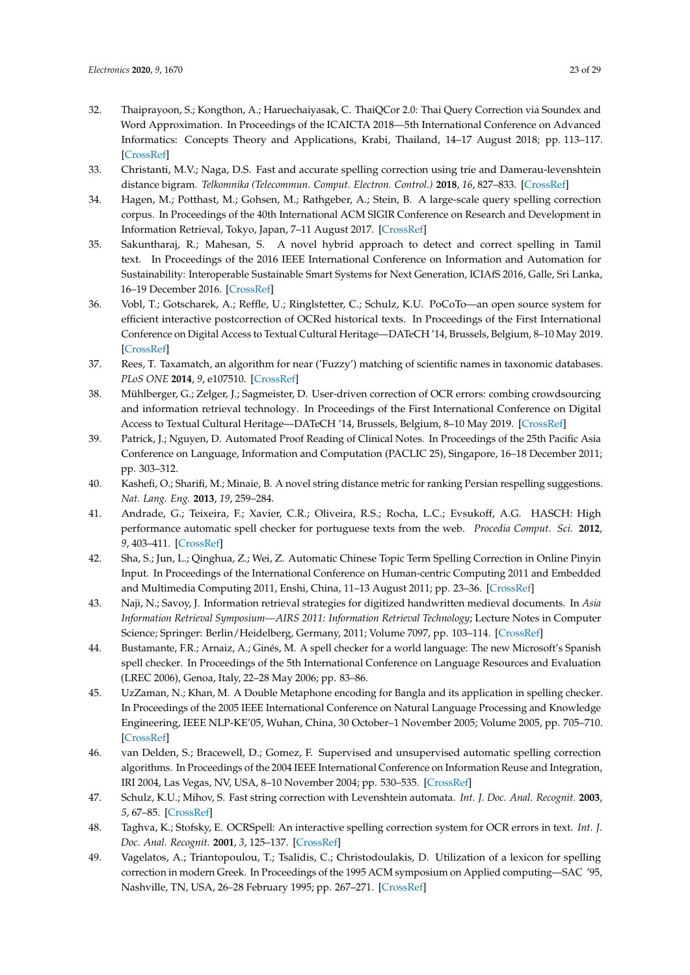- <span id="page-22-0"></span>32. Thaiprayoon, S.; Kongthon, A.; Haruechaiyasak, C. ThaiQCor 2.0: Thai Query Correction via Soundex and Word Approximation. In Proceedings of the ICAICTA 2018—5th International Conference on Advanced Informatics: Concepts Theory and Applications, Krabi, Thailand, 14–17 August 2018; pp. 113–117. [\[CrossRef\]](http://dx.doi.org/10.1109/ICAICTA.2018.8541321)
- <span id="page-22-1"></span>33. Christanti, M.V.; Naga, D.S. Fast and accurate spelling correction using trie and Damerau-levenshtein distance bigram. *Telkomnika (Telecommun. Comput. Electron. Control.)* **2018**, *16*, 827–833. [\[CrossRef\]](http://dx.doi.org/10.12928/TELKOMNIKA.v16i2.6890)
- <span id="page-22-2"></span>34. Hagen, M.; Potthast, M.; Gohsen, M.; Rathgeber, A.; Stein, B. A large-scale query spelling correction corpus. In Proceedings of the 40th International ACM SIGIR Conference on Research and Development in Information Retrieval, Tokyo, Japan, 7–11 August 2017. [\[CrossRef\]](http://dx.doi.org/10.1145/3077136.3080749)
- <span id="page-22-18"></span><span id="page-22-3"></span>35. Sakuntharaj, R.; Mahesan, S. A novel hybrid approach to detect and correct spelling in Tamil text. In Proceedings of the 2016 IEEE International Conference on Information and Automation for Sustainability: Interoperable Sustainable Smart Systems for Next Generation, ICIAfS 2016, Galle, Sri Lanka, 16–19 December 2016. [\[CrossRef\]](http://dx.doi.org/10.1109/ICIAFS.2016.7946522)
- <span id="page-22-4"></span>36. Vobl, T.; Gotscharek, A.; Reffle, U.; Ringlstetter, C.; Schulz, K.U. PoCoTo—an open source system for efficient interactive postcorrection of OCRed historical texts. In Proceedings of the First International Conference on Digital Access to Textual Cultural Heritage—DATeCH '14, Brussels, Belgium, 8–10 May 2019. [\[CrossRef\]](http://dx.doi.org/10.1145/2595188.2595197)
- <span id="page-22-5"></span>37. Rees, T. Taxamatch, an algorithm for near ('Fuzzy') matching of scientific names in taxonomic databases. *PLoS ONE* **2014**, *9*, e107510. [\[CrossRef\]](http://dx.doi.org/10.1371/journal.pone.0107510)
- <span id="page-22-6"></span>38. Mühlberger, G.; Zelger, J.; Sagmeister, D. User-driven correction of OCR errors: combing crowdsourcing and information retrieval technology. In Proceedings of the First International Conference on Digital Access to Textual Cultural Heritage—DATeCH '14, Brussels, Belgium, 8–10 May 2019. [\[CrossRef\]](http://dx.doi.org/10.1145/2595188.2595212)
- <span id="page-22-7"></span>39. Patrick, J.; Nguyen, D. Automated Proof Reading of Clinical Notes. In Proceedings of the 25th Pacific Asia Conference on Language, Information and Computation (PACLIC 25), Singapore, 16–18 December 2011; pp. 303–312.
- <span id="page-22-19"></span><span id="page-22-8"></span>40. Kashefi, O.; Sharifi, M.; Minaie, B. A novel string distance metric for ranking Persian respelling suggestions. *Nat. Lang. Eng.* **2013**, *19*, 259–284.
- <span id="page-22-9"></span>41. Andrade, G.; Teixeira, F.; Xavier, C.R.; Oliveira, R.S.; Rocha, L.C.; Evsukoff, A.G. HASCH: High performance automatic spell checker for portuguese texts from the web. *Procedia Comput. Sci.* **2012**, *9*, 403–411. [\[CrossRef\]](http://dx.doi.org/10.1016/j.procs.2012.04.043)
- <span id="page-22-10"></span>42. Sha, S.; Jun, L.; Qinghua, Z.; Wei, Z. Automatic Chinese Topic Term Spelling Correction in Online Pinyin Input. In Proceedings of the International Conference on Human-centric Computing 2011 and Embedded and Multimedia Computing 2011, Enshi, China, 11–13 August 2011; pp. 23–36. [\[CrossRef\]](http://dx.doi.org/10.1007/978-94-007-2105-0_5)
- <span id="page-22-11"></span>43. Naji, N.; Savoy, J. Information retrieval strategies for digitized handwritten medieval documents. In *Asia Information Retrieval Symposium—AIRS 2011: Information Retrieval Technology*; Lecture Notes in Computer Science; Springer: Berlin/Heidelberg, Germany, 2011; Volume 7097, pp. 103–114. [\[CrossRef\]](http://dx.doi.org/10.1007/978-3-642-25631-8_10)
- <span id="page-22-12"></span>44. Bustamante, F.R.; Arnaiz, A.; Ginés, M. A spell checker for a world language: The new Microsoft's Spanish spell checker. In Proceedings of the 5th International Conference on Language Resources and Evaluation (LREC 2006), Genoa, Italy, 22–28 May 2006; pp. 83–86.
- <span id="page-22-13"></span>45. UzZaman, N.; Khan, M. A Double Metaphone encoding for Bangla and its application in spelling checker. In Proceedings of the 2005 IEEE International Conference on Natural Language Processing and Knowledge Engineering, IEEE NLP-KE'05, Wuhan, China, 30 October–1 November 2005; Volume 2005, pp. 705–710. [\[CrossRef\]](http://dx.doi.org/10.1109/NLPKE.2005.1598827)
- <span id="page-22-14"></span>46. van Delden, S.; Bracewell, D.; Gomez, F. Supervised and unsupervised automatic spelling correction algorithms. In Proceedings of the 2004 IEEE International Conference on Information Reuse and Integration, IRI 2004, Las Vegas, NV, USA, 8–10 November 2004; pp. 530–535. [\[CrossRef\]](http://dx.doi.org/10.1109/IRI.2004.1431515)
- <span id="page-22-15"></span>47. Schulz, K.U.; Mihov, S. Fast string correction with Levenshtein automata. *Int. J. Doc. Anal. Recognit.* **2003**, *5*, 67–85. [\[CrossRef\]](http://dx.doi.org/10.1007/s10032-002-0082-8)
- <span id="page-22-16"></span>48. Taghva, K.; Stofsky, E. OCRSpell: An interactive spelling correction system for OCR errors in text. *Int. J. Doc. Anal. Recognit.* **2001**, *3*, 125–137. [\[CrossRef\]](http://dx.doi.org/10.1007/PL00013558)
- <span id="page-22-17"></span>49. Vagelatos, A.; Triantopoulou, T.; Tsalidis, C.; Christodoulakis, D. Utilization of a lexicon for spelling correction in modern Greek. In Proceedings of the 1995 ACM symposium on Applied computing—SAC '95, Nashville, TN, USA, 26–28 February 1995; pp. 267–271. [\[CrossRef\]](http://dx.doi.org/10.1145/315891.315979)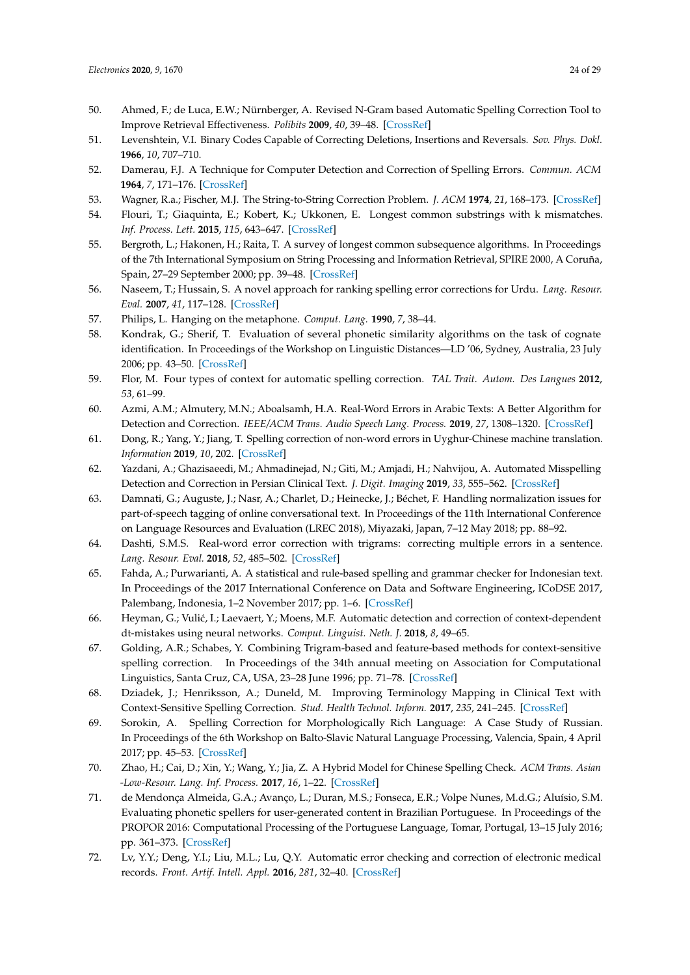- <span id="page-23-23"></span><span id="page-23-22"></span><span id="page-23-10"></span><span id="page-23-0"></span>50. Ahmed, F.; de Luca, E.W.; Nürnberger, A. Revised N-Gram based Automatic Spelling Correction Tool to Improve Retrieval Effectiveness. *Polibits* **2009**, *40*, 39–48. [\[CrossRef\]](http://dx.doi.org/10.17562/PB-40-6)
- <span id="page-23-11"></span><span id="page-23-1"></span>51. Levenshtein, V.I. Binary Codes Capable of Correcting Deletions, Insertions and Reversals. *Sov. Phys. Dokl.* **1966**, *10*, 707–710.
- <span id="page-23-12"></span><span id="page-23-2"></span>52. Damerau, F.J. A Technique for Computer Detection and Correction of Spelling Errors. *Commun. ACM* **1964**, *7*, 171–176. [\[CrossRef\]](http://dx.doi.org/10.1145/363958.363994)
- <span id="page-23-3"></span>53. Wagner, R.a.; Fischer, M.J. The String-to-String Correction Problem. *J. ACM* **1974**, *21*, 168–173. [\[CrossRef\]](http://dx.doi.org/10.1145/321796.321811)
- <span id="page-23-4"></span>54. Flouri, T.; Giaquinta, E.; Kobert, K.; Ukkonen, E. Longest common substrings with k mismatches. *Inf. Process. Lett.* **2015**, *115*, 643–647. [\[CrossRef\]](http://dx.doi.org/10.1016/j.ipl.2015.03.006)
- <span id="page-23-13"></span><span id="page-23-5"></span>55. Bergroth, L.; Hakonen, H.; Raita, T. A survey of longest common subsequence algorithms. In Proceedings of the 7th International Symposium on String Processing and Information Retrieval, SPIRE 2000, A Coruña, Spain, 27–29 September 2000; pp. 39–48. [\[CrossRef\]](http://dx.doi.org/10.1109/SPIRE.2000.878178)
- <span id="page-23-14"></span><span id="page-23-6"></span>56. Naseem, T.; Hussain, S. A novel approach for ranking spelling error corrections for Urdu. *Lang. Resour. Eval.* **2007**, *41*, 117–128. [\[CrossRef\]](http://dx.doi.org/10.1007/s10579-007-9028-6)
- <span id="page-23-15"></span><span id="page-23-7"></span>57. Philips, L. Hanging on the metaphone. *Comput. Lang.* **1990**, *7*, 38–44.
- <span id="page-23-16"></span><span id="page-23-8"></span>58. Kondrak, G.; Sherif, T. Evaluation of several phonetic similarity algorithms on the task of cognate identification. In Proceedings of the Workshop on Linguistic Distances—LD '06, Sydney, Australia, 23 July 2006; pp. 43–50. [\[CrossRef\]](http://dx.doi.org/10.3115/1641976.1641983)
- <span id="page-23-9"></span>59. Flor, M. Four types of context for automatic spelling correction. *TAL Trait. Autom. Des Langues* **2012**, *53*, 61–99.
- <span id="page-23-17"></span>60. Azmi, A.M.; Almutery, M.N.; Aboalsamh, H.A. Real-Word Errors in Arabic Texts: A Better Algorithm for Detection and Correction. *IEEE/ACM Trans. Audio Speech Lang. Process.* **2019**, *27*, 1308–1320. [\[CrossRef\]](http://dx.doi.org/10.1109/TASLP.2019.2918404)
- <span id="page-23-18"></span>61. Dong, R.; Yang, Y.; Jiang, T. Spelling correction of non-word errors in Uyghur-Chinese machine translation. *Information* **2019**, *10*, 202. [\[CrossRef\]](http://dx.doi.org/10.3390/info10060202)
- <span id="page-23-19"></span>62. Yazdani, A.; Ghazisaeedi, M.; Ahmadinejad, N.; Giti, M.; Amjadi, H.; Nahvijou, A. Automated Misspelling Detection and Correction in Persian Clinical Text. *J. Digit. Imaging* **2019**, *33*, 555–562. [\[CrossRef\]](http://dx.doi.org/10.1007/s10278-019-00296-y)
- <span id="page-23-24"></span><span id="page-23-20"></span>63. Damnati, G.; Auguste, J.; Nasr, A.; Charlet, D.; Heinecke, J.; Béchet, F. Handling normalization issues for part-of-speech tagging of online conversational text. In Proceedings of the 11th International Conference on Language Resources and Evaluation (LREC 2018), Miyazaki, Japan, 7–12 May 2018; pp. 88–92.
- 64. Dashti, S.M.S. Real-word error correction with trigrams: correcting multiple errors in a sentence. *Lang. Resour. Eval.* **2018**, *52*, 485–502. [\[CrossRef\]](http://dx.doi.org/10.1007/s10579-017-9397-4)
- <span id="page-23-21"></span>65. Fahda, A.; Purwarianti, A. A statistical and rule-based spelling and grammar checker for Indonesian text. In Proceedings of the 2017 International Conference on Data and Software Engineering, ICoDSE 2017, Palembang, Indonesia, 1–2 November 2017; pp. 1–6. [\[CrossRef\]](http://dx.doi.org/10.1109/ICODSE.2017.8285846)
- 66. Heyman, G.; Vulić, I.; Laevaert, Y.; Moens, M.F. Automatic detection and correction of context-dependent dt-mistakes using neural networks. *Comput. Linguist. Neth. J.* **2018**, *8*, 49–65.
- <span id="page-23-25"></span>67. Golding, A.R.; Schabes, Y. Combining Trigram-based and feature-based methods for context-sensitive spelling correction. In Proceedings of the 34th annual meeting on Association for Computational Linguistics, Santa Cruz, CA, USA, 23–28 June 1996; pp. 71–78. [\[CrossRef\]](http://dx.doi.org/10.3115/981863.981873)
- 68. Dziadek, J.; Henriksson, A.; Duneld, M. Improving Terminology Mapping in Clinical Text with Context-Sensitive Spelling Correction. *Stud. Health Technol. Inform.* **2017**, *235*, 241–245. [\[CrossRef\]](http://dx.doi.org/10.3233/978-1-61499-753-5-241)
- 69. Sorokin, A. Spelling Correction for Morphologically Rich Language: A Case Study of Russian. In Proceedings of the 6th Workshop on Balto-Slavic Natural Language Processing, Valencia, Spain, 4 April 2017; pp. 45–53. [\[CrossRef\]](http://dx.doi.org/10.18653/v1/W17-1408)
- 70. Zhao, H.; Cai, D.; Xin, Y.; Wang, Y.; Jia, Z. A Hybrid Model for Chinese Spelling Check. *ACM Trans. Asian -Low-Resour. Lang. Inf. Process.* **2017**, *16*, 1–22. [\[CrossRef\]](http://dx.doi.org/10.1145/3047405)
- 71. de Mendonça Almeida, G.A.; Avanço, L.; Duran, M.S.; Fonseca, E.R.; Volpe Nunes, M.d.G.; Aluísio, S.M. Evaluating phonetic spellers for user-generated content in Brazilian Portuguese. In Proceedings of the PROPOR 2016: Computational Processing of the Portuguese Language, Tomar, Portugal, 13–15 July 2016; pp. 361–373. [\[CrossRef\]](http://dx.doi.org/10.1007/978-3-319-41552-9_37)
- 72. Lv, Y.Y.; Deng, Y.I.; Liu, M.L.; Lu, Q.Y. Automatic error checking and correction of electronic medical records. *Front. Artif. Intell. Appl.* **2016**, *281*, 32–40. [\[CrossRef\]](http://dx.doi.org/10.3233/978-1-61499-619-4-32)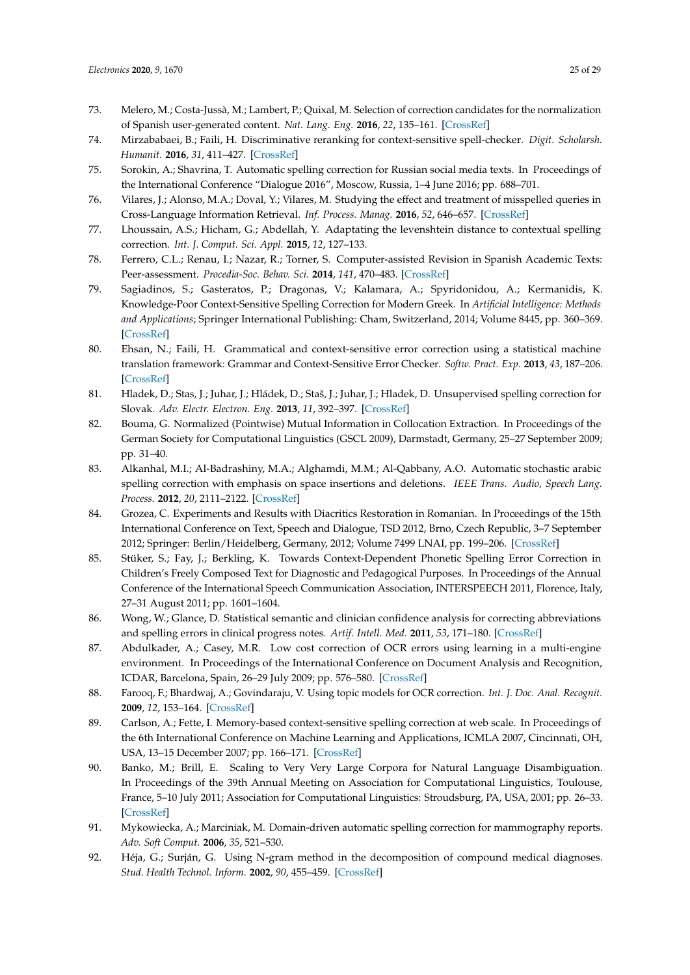- <span id="page-24-20"></span><span id="page-24-8"></span><span id="page-24-7"></span><span id="page-24-6"></span><span id="page-24-5"></span><span id="page-24-4"></span><span id="page-24-3"></span><span id="page-24-2"></span><span id="page-24-1"></span><span id="page-24-0"></span>73. Melero, M.; Costa-Jussà, M.; Lambert, P.; Quixal, M. Selection of correction candidates for the normalization of Spanish user-generated content. *Nat. Lang. Eng.* **2016**, *22*, 135–161. [\[CrossRef\]](http://dx.doi.org/10.1017/S1351324914000011)
- <span id="page-24-9"></span>74. Mirzababaei, B.; Faili, H. Discriminative reranking for context-sensitive spell-checker. *Digit. Scholarsh. Humanit.* **2016**, *31*, 411–427. [\[CrossRef\]](http://dx.doi.org/10.1093/llc/fqu062)
- <span id="page-24-10"></span>75. Sorokin, A.; Shavrina, T. Automatic spelling correction for Russian social media texts. In Proceedings of the International Conference "Dialogue 2016", Moscow, Russia, 1–4 June 2016; pp. 688–701.
- 76. Vilares, J.; Alonso, M.A.; Doval, Y.; Vilares, M. Studying the effect and treatment of misspelled queries in Cross-Language Information Retrieval. *Inf. Process. Manag.* **2016**, *52*, 646–657. [\[CrossRef\]](http://dx.doi.org/10.1016/j.ipm.2015.12.010)
- <span id="page-24-11"></span>77. Lhoussain, A.S.; Hicham, G.; Abdellah, Y. Adaptating the levenshtein distance to contextual spelling correction. *Int. J. Comput. Sci. Appl.* **2015**, *12*, 127–133.
- <span id="page-24-12"></span>78. Ferrero, C.L.; Renau, I.; Nazar, R.; Torner, S. Computer-assisted Revision in Spanish Academic Texts: Peer-assessment. *Procedia-Soc. Behav. Sci.* **2014**, *141*, 470–483. [\[CrossRef\]](http://dx.doi.org/10.1016/j.sbspro.2014.05.083)
- 79. Sagiadinos, S.; Gasteratos, P.; Dragonas, V.; Kalamara, A.; Spyridonidou, A.; Kermanidis, K. Knowledge-Poor Context-Sensitive Spelling Correction for Modern Greek. In *Artificial Intelligence: Methods and Applications*; Springer International Publishing: Cham, Switzerland, 2014; Volume 8445, pp. 360–369. [\[CrossRef\]](http://dx.doi.org/10.1007/978-3-319-07064-3_29)
- <span id="page-24-14"></span><span id="page-24-13"></span>80. Ehsan, N.; Faili, H. Grammatical and context-sensitive error correction using a statistical machine translation framework: Grammar and Context-Sensitive Error Checker. *Softw. Pract. Exp.* **2013**, *43*, 187–206. [\[CrossRef\]](http://dx.doi.org/10.1002/spe.2110)
- <span id="page-24-15"></span>81. Hladek, D.; Stas, J.; Juhar, J.; Hládek, D.; Staš, J.; Juhar, J.; Hladek, D. Unsupervised spelling correction for Slovak. *Adv. Electr. Electron. Eng.* **2013**, *11*, 392–397. [\[CrossRef\]](http://dx.doi.org/10.15598/aeee.v11i5.898)
- <span id="page-24-16"></span>82. Bouma, G. Normalized (Pointwise) Mutual Information in Collocation Extraction. In Proceedings of the German Society for Computational Linguistics (GSCL 2009), Darmstadt, Germany, 25–27 September 2009; pp. 31–40.
- <span id="page-24-17"></span>83. Alkanhal, M.I.; Al-Badrashiny, M.A.; Alghamdi, M.M.; Al-Qabbany, A.O. Automatic stochastic arabic spelling correction with emphasis on space insertions and deletions. *IEEE Trans. Audio, Speech Lang. Process.* **2012**, *20*, 2111–2122. [\[CrossRef\]](http://dx.doi.org/10.1109/TASL.2012.2197612)
- 84. Grozea, C. Experiments and Results with Diacritics Restoration in Romanian. In Proceedings of the 15th International Conference on Text, Speech and Dialogue, TSD 2012, Brno, Czech Republic, 3–7 September 2012; Springer: Berlin/Heidelberg, Germany, 2012; Volume 7499 LNAI, pp. 199–206. [\[CrossRef\]](http://dx.doi.org/10.1007/978-3-642-32790-2_24)
- <span id="page-24-19"></span><span id="page-24-18"></span>85. Stüker, S.; Fay, J.; Berkling, K. Towards Context-Dependent Phonetic Spelling Error Correction in Children's Freely Composed Text for Diagnostic and Pedagogical Purposes. In Proceedings of the Annual Conference of the International Speech Communication Association, INTERSPEECH 2011, Florence, Italy, 27–31 August 2011; pp. 1601–1604.
- 86. Wong, W.; Glance, D. Statistical semantic and clinician confidence analysis for correcting abbreviations and spelling errors in clinical progress notes. *Artif. Intell. Med.* **2011**, *53*, 171–180. [\[CrossRef\]](http://dx.doi.org/10.1016/j.artmed.2011.08.003)
- 87. Abdulkader, A.; Casey, M.R. Low cost correction of OCR errors using learning in a multi-engine environment. In Proceedings of the International Conference on Document Analysis and Recognition, ICDAR, Barcelona, Spain, 26–29 July 2009; pp. 576–580. [\[CrossRef\]](http://dx.doi.org/10.1109/ICDAR.2009.242)
- 88. Farooq, F.; Bhardwaj, A.; Govindaraju, V. Using topic models for OCR correction. *Int. J. Doc. Anal. Recognit.* **2009**, *12*, 153–164. [\[CrossRef\]](http://dx.doi.org/10.1007/s10032-009-0095-7)
- 89. Carlson, A.; Fette, I. Memory-based context-sensitive spelling correction at web scale. In Proceedings of the 6th International Conference on Machine Learning and Applications, ICMLA 2007, Cincinnati, OH, USA, 13–15 December 2007; pp. 166–171. [\[CrossRef\]](http://dx.doi.org/10.1109/ICMLA.2007.73)
- <span id="page-24-21"></span>90. Banko, M.; Brill, E. Scaling to Very Very Large Corpora for Natural Language Disambiguation. In Proceedings of the 39th Annual Meeting on Association for Computational Linguistics, Toulouse, France, 5–10 July 2011; Association for Computational Linguistics: Stroudsburg, PA, USA, 2001; pp. 26–33. [\[CrossRef\]](http://dx.doi.org/10.3115/1073012.1073017)
- 91. Mykowiecka, A.; Marciniak, M. Domain-driven automatic spelling correction for mammography reports. *Adv. Soft Comput.* **2006**, *35*, 521–530.
- 92. Héja, G.; Surján, G. Using N-gram method in the decomposition of compound medical diagnoses. *Stud. Health Technol. Inform.* **2002**, *90*, 455–459. [\[CrossRef\]](http://dx.doi.org/10.1016/S1386-5056(03)00049-2)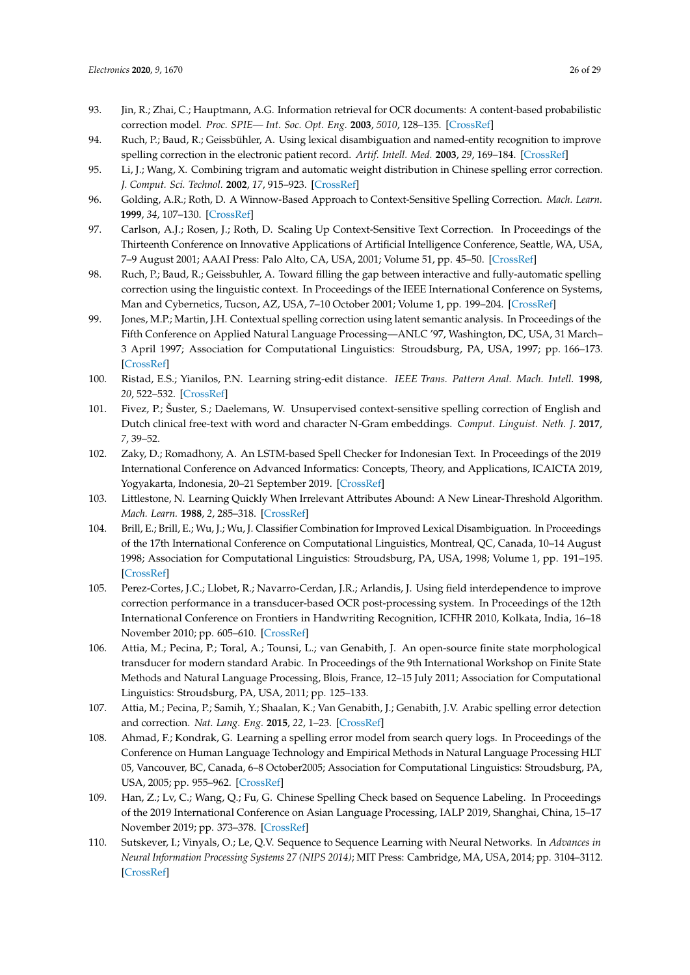- <span id="page-25-23"></span><span id="page-25-22"></span><span id="page-25-6"></span><span id="page-25-5"></span><span id="page-25-4"></span><span id="page-25-3"></span><span id="page-25-2"></span><span id="page-25-1"></span><span id="page-25-0"></span>93. Jin, R.; Zhai, C.; Hauptmann, A.G. Information retrieval for OCR documents: A content-based probabilistic correction model. *Proc. SPIE— Int. Soc. Opt. Eng.* **2003**, *5010*, 128–135. [\[CrossRef\]](http://dx.doi.org/10.1117/12.472838)
- 94. Ruch, P.; Baud, R.; Geissbühler, A. Using lexical disambiguation and named-entity recognition to improve spelling correction in the electronic patient record. *Artif. Intell. Med.* **2003**, *29*, 169–184. [\[CrossRef\]](http://dx.doi.org/10.1016/S0933-3657(03)00052-6)
- <span id="page-25-21"></span><span id="page-25-13"></span>95. Li, J.; Wang, X. Combining trigram and automatic weight distribution in Chinese spelling error correction. *J. Comput. Sci. Technol.* **2002**, *17*, 915–923. [\[CrossRef\]](http://dx.doi.org/10.1007/BF02960784)
- <span id="page-25-10"></span>96. Golding, A.R.; Roth, D. A Winnow-Based Approach to Context-Sensitive Spelling Correction. *Mach. Learn.* **1999**, *34*, 107–130. [\[CrossRef\]](http://dx.doi.org/10.1023/A:1007545901558)
- <span id="page-25-12"></span>97. Carlson, A.J.; Rosen, J.; Roth, D. Scaling Up Context-Sensitive Text Correction. In Proceedings of the Thirteenth Conference on Innovative Applications of Artificial Intelligence Conference, Seattle, WA, USA, 7–9 August 2001; AAAI Press: Palo Alto, CA, USA, 2001; Volume 51, pp. 45–50. [\[CrossRef\]](http://dx.doi.org/10.1.1.21.856)
- <span id="page-25-24"></span>98. Ruch, P.; Baud, R.; Geissbuhler, A. Toward filling the gap between interactive and fully-automatic spelling correction using the linguistic context. In Proceedings of the IEEE International Conference on Systems, Man and Cybernetics, Tucson, AZ, USA, 7–10 October 2001; Volume 1, pp. 199–204. [\[CrossRef\]](http://dx.doi.org/10.1109/ICSMC.2001.969812)
- 99. Jones, M.P.; Martin, J.H. Contextual spelling correction using latent semantic analysis. In Proceedings of the Fifth Conference on Applied Natural Language Processing—ANLC '97, Washington, DC, USA, 31 March– 3 April 1997; Association for Computational Linguistics: Stroudsburg, PA, USA, 1997; pp. 166–173. [\[CrossRef\]](http://dx.doi.org/10.3115/974557.974582)
- <span id="page-25-7"></span>100. Ristad, E.S.; Yianilos, P.N. Learning string-edit distance. *IEEE Trans. Pattern Anal. Mach. Intell.* **1998**, *20*, 522–532. [\[CrossRef\]](http://dx.doi.org/10.1109/34.682181)
- <span id="page-25-27"></span><span id="page-25-8"></span>101. Fivez, P.; Šuster, S.; Daelemans, W. Unsupervised context-sensitive spelling correction of English and Dutch clinical free-text with word and character N-Gram embeddings. *Comput. Linguist. Neth. J.* **2017**, *7*, 39–52.
- <span id="page-25-25"></span><span id="page-25-9"></span>102. Zaky, D.; Romadhony, A. An LSTM-based Spell Checker for Indonesian Text. In Proceedings of the 2019 International Conference on Advanced Informatics: Concepts, Theory, and Applications, ICAICTA 2019, Yogyakarta, Indonesia, 20–21 September 2019. [\[CrossRef\]](http://dx.doi.org/10.1109/ICAICTA.2019.8904218)
- <span id="page-25-19"></span><span id="page-25-11"></span>103. Littlestone, N. Learning Quickly When Irrelevant Attributes Abound: A New Linear-Threshold Algorithm. *Mach. Learn.* **1988**, *2*, 285–318. [\[CrossRef\]](http://dx.doi.org/10.1007/BF00116827)
- <span id="page-25-20"></span><span id="page-25-14"></span>104. Brill, E.; Brill, E.; Wu, J.; Wu, J. Classifier Combination for Improved Lexical Disambiguation. In Proceedings of the 17th International Conference on Computational Linguistics, Montreal, QC, Canada, 10–14 August 1998; Association for Computational Linguistics: Stroudsburg, PA, USA, 1998; Volume 1, pp. 191–195. [\[CrossRef\]](http://dx.doi.org/10.1.1.47.5135)
- <span id="page-25-15"></span>105. Perez-Cortes, J.C.; Llobet, R.; Navarro-Cerdan, J.R.; Arlandis, J. Using field interdependence to improve correction performance in a transducer-based OCR post-processing system. In Proceedings of the 12th International Conference on Frontiers in Handwriting Recognition, ICFHR 2010, Kolkata, India, 16–18 November 2010; pp. 605–610. [\[CrossRef\]](http://dx.doi.org/10.1109/ICFHR.2010.99)
- <span id="page-25-16"></span>106. Attia, M.; Pecina, P.; Toral, A.; Tounsi, L.; van Genabith, J. An open-source finite state morphological transducer for modern standard Arabic. In Proceedings of the 9th International Workshop on Finite State Methods and Natural Language Processing, Blois, France, 12–15 July 2011; Association for Computational Linguistics: Stroudsburg, PA, USA, 2011; pp. 125–133.
- <span id="page-25-17"></span>107. Attia, M.; Pecina, P.; Samih, Y.; Shaalan, K.; Van Genabith, J.; Genabith, J.V. Arabic spelling error detection and correction. *Nat. Lang. Eng.* **2015**, *22*, 1–23. [\[CrossRef\]](http://dx.doi.org/10.1017/S1351324915000030)
- <span id="page-25-18"></span>108. Ahmad, F.; Kondrak, G. Learning a spelling error model from search query logs. In Proceedings of the Conference on Human Language Technology and Empirical Methods in Natural Language Processing HLT 05, Vancouver, BC, Canada, 6–8 October2005; Association for Computational Linguistics: Stroudsburg, PA, USA, 2005; pp. 955–962. [\[CrossRef\]](http://dx.doi.org/10.3115/1220575.1220695)
- 109. Han, Z.; Lv, C.; Wang, Q.; Fu, G. Chinese Spelling Check based on Sequence Labeling. In Proceedings of the 2019 International Conference on Asian Language Processing, IALP 2019, Shanghai, China, 15–17 November 2019; pp. 373–378. [\[CrossRef\]](http://dx.doi.org/10.1109/IALP48816.2019.9037652)
- <span id="page-25-26"></span>110. Sutskever, I.; Vinyals, O.; Le, Q.V. Sequence to Sequence Learning with Neural Networks. In *Advances in Neural Information Processing Systems 27 (NIPS 2014)*; MIT Press: Cambridge, MA, USA, 2014; pp. 3104–3112. [\[CrossRef\]](http://xxx.lanl.gov/abs/1409.3215)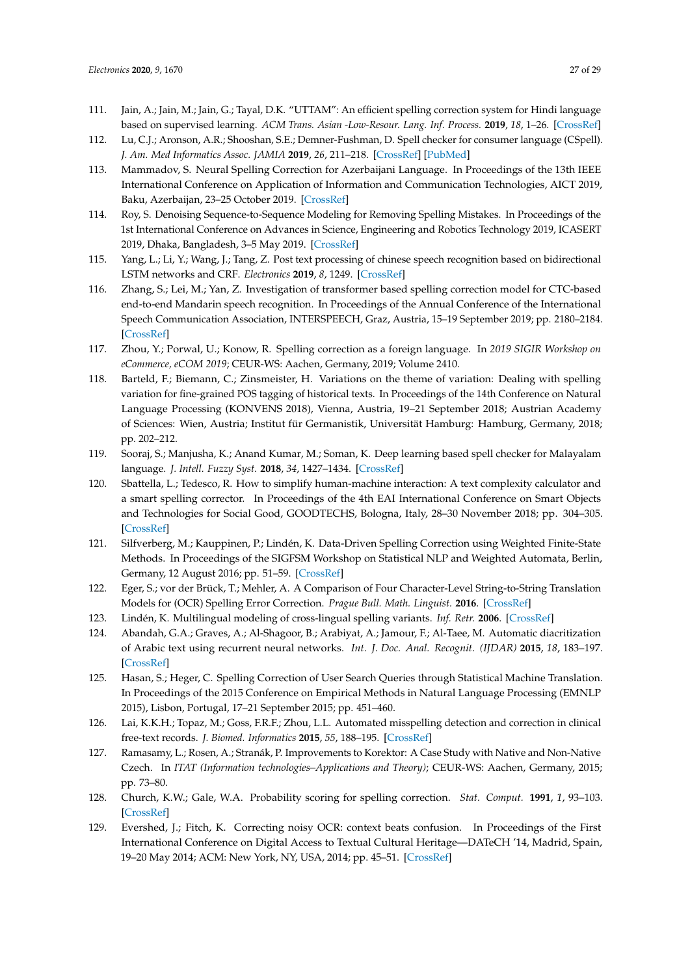- <span id="page-26-7"></span><span id="page-26-6"></span><span id="page-26-5"></span><span id="page-26-4"></span><span id="page-26-3"></span><span id="page-26-2"></span><span id="page-26-1"></span><span id="page-26-0"></span>111. Jain, A.; Jain, M.; Jain, G.; Tayal, D.K. "UTTAM": An efficient spelling correction system for Hindi language based on supervised learning. *ACM Trans. Asian -Low-Resour. Lang. Inf. Process.* **2019**, *18*, 1–26. [\[CrossRef\]](http://dx.doi.org/10.1145/3264620)
- 112. Lu, C.J.; Aronson, A.R.; Shooshan, S.E.; Demner-Fushman, D. Spell checker for consumer language (CSpell). *J. Am. Med Informatics Assoc. JAMIA* **2019**, *26*, 211–218. [\[CrossRef\]](http://dx.doi.org/10.1093/jamia/ocy171) [\[PubMed\]](http://www.ncbi.nlm.nih.gov/pubmed/30668712)
- <span id="page-26-8"></span>113. Mammadov, S. Neural Spelling Correction for Azerbaijani Language. In Proceedings of the 13th IEEE International Conference on Application of Information and Communication Technologies, AICT 2019, Baku, Azerbaijan, 23–25 October 2019. [\[CrossRef\]](http://dx.doi.org/10.1109/AICT47866.2019.8981776)
- <span id="page-26-9"></span>114. Roy, S. Denoising Sequence-to-Sequence Modeling for Removing Spelling Mistakes. In Proceedings of the 1st International Conference on Advances in Science, Engineering and Robotics Technology 2019, ICASERT 2019, Dhaka, Bangladesh, 3–5 May 2019. [\[CrossRef\]](http://dx.doi.org/10.1109/ICASERT.2019.8934902)
- <span id="page-26-10"></span>115. Yang, L.; Li, Y.; Wang, J.; Tang, Z. Post text processing of chinese speech recognition based on bidirectional LSTM networks and CRF. *Electronics* **2019**, *8*, 1249. [\[CrossRef\]](http://dx.doi.org/10.3390/electronics8111248)
- <span id="page-26-11"></span>116. Zhang, S.; Lei, M.; Yan, Z. Investigation of transformer based spelling correction model for CTC-based end-to-end Mandarin speech recognition. In Proceedings of the Annual Conference of the International Speech Communication Association, INTERSPEECH, Graz, Austria, 15–19 September 2019; pp. 2180–2184. [\[CrossRef\]](http://dx.doi.org/10.21437/Interspeech.2019-1290)
- <span id="page-26-21"></span><span id="page-26-13"></span><span id="page-26-12"></span>117. Zhou, Y.; Porwal, U.; Konow, R. Spelling correction as a foreign language. In *2019 SIGIR Workshop on eCommerce, eCOM 2019*; CEUR-WS: Aachen, Germany, 2019; Volume 2410.
- <span id="page-26-14"></span>118. Barteld, F.; Biemann, C.; Zinsmeister, H. Variations on the theme of variation: Dealing with spelling variation for fine-grained POS tagging of historical texts. In Proceedings of the 14th Conference on Natural Language Processing (KONVENS 2018), Vienna, Austria, 19–21 September 2018; Austrian Academy of Sciences: Wien, Austria; Institut für Germanistik, Universität Hamburg: Hamburg, Germany, 2018; pp. 202–212.
- <span id="page-26-16"></span><span id="page-26-15"></span>119. Sooraj, S.; Manjusha, K.; Anand Kumar, M.; Soman, K. Deep learning based spell checker for Malayalam language. *J. Intell. Fuzzy Syst.* **2018**, *34*, 1427–1434. [\[CrossRef\]](http://dx.doi.org/10.3233/JIFS-169438)
- <span id="page-26-17"></span>120. Sbattella, L.; Tedesco, R. How to simplify human-machine interaction: A text complexity calculator and a smart spelling corrector. In Proceedings of the 4th EAI International Conference on Smart Objects and Technologies for Social Good, GOODTECHS, Bologna, Italy, 28–30 November 2018; pp. 304–305. [\[CrossRef\]](http://dx.doi.org/10.1145/3284869.3284923)
- <span id="page-26-18"></span>121. Silfverberg, M.; Kauppinen, P.; Lindén, K. Data-Driven Spelling Correction using Weighted Finite-State Methods. In Proceedings of the SIGFSM Workshop on Statistical NLP and Weighted Automata, Berlin, Germany, 12 August 2016; pp. 51–59. [\[CrossRef\]](http://dx.doi.org/10.18653/v1/w16-2406)
- <span id="page-26-20"></span>122. Eger, S.; vor der Brück, T.; Mehler, A. A Comparison of Four Character-Level String-to-String Translation Models for (OCR) Spelling Error Correction. *Prague Bull. Math. Linguist.* **2016**. [\[CrossRef\]](http://dx.doi.org/10.1515/pralin-2016-0004)
- 123. Lindén, K. Multilingual modeling of cross-lingual spelling variants. *Inf. Retr.* **2006**. [\[CrossRef\]](http://dx.doi.org/10.1007/s10791-006-1541-5)
- 124. Abandah, G.A.; Graves, A.; Al-Shagoor, B.; Arabiyat, A.; Jamour, F.; Al-Taee, M. Automatic diacritization of Arabic text using recurrent neural networks. *Int. J. Doc. Anal. Recognit. (IJDAR)* **2015**, *18*, 183–197. [\[CrossRef\]](http://dx.doi.org/10.1007/s10032-015-0242-2)
- <span id="page-26-22"></span>125. Hasan, S.; Heger, C. Spelling Correction of User Search Queries through Statistical Machine Translation. In Proceedings of the 2015 Conference on Empirical Methods in Natural Language Processing (EMNLP 2015), Lisbon, Portugal, 17–21 September 2015; pp. 451–460.
- 126. Lai, K.K.H.; Topaz, M.; Goss, F.R.F.; Zhou, L.L. Automated misspelling detection and correction in clinical free-text records. *J. Biomed. Informatics* **2015**, *55*, 188–195. [\[CrossRef\]](http://dx.doi.org/10.1016/j.jbi.2015.04.008)
- 127. Ramasamy, L.; Rosen, A.; Stranák, P. Improvements to Korektor: A Case Study with Native and Non-Native Czech. In *ITAT (Information technologies–Applications and Theory)*; CEUR-WS: Aachen, Germany, 2015; pp. 73–80.
- <span id="page-26-19"></span>128. Church, K.W.; Gale, W.A. Probability scoring for spelling correction. *Stat. Comput.* **1991**, *1*, 93–103. [\[CrossRef\]](http://dx.doi.org/10.1007/BF01889984)
- 129. Evershed, J.; Fitch, K. Correcting noisy OCR: context beats confusion. In Proceedings of the First International Conference on Digital Access to Textual Cultural Heritage—DATeCH '14, Madrid, Spain, 19–20 May 2014; ACM: New York, NY, USA, 2014; pp. 45–51. [\[CrossRef\]](http://dx.doi.org/10.1145/2595188.2595200)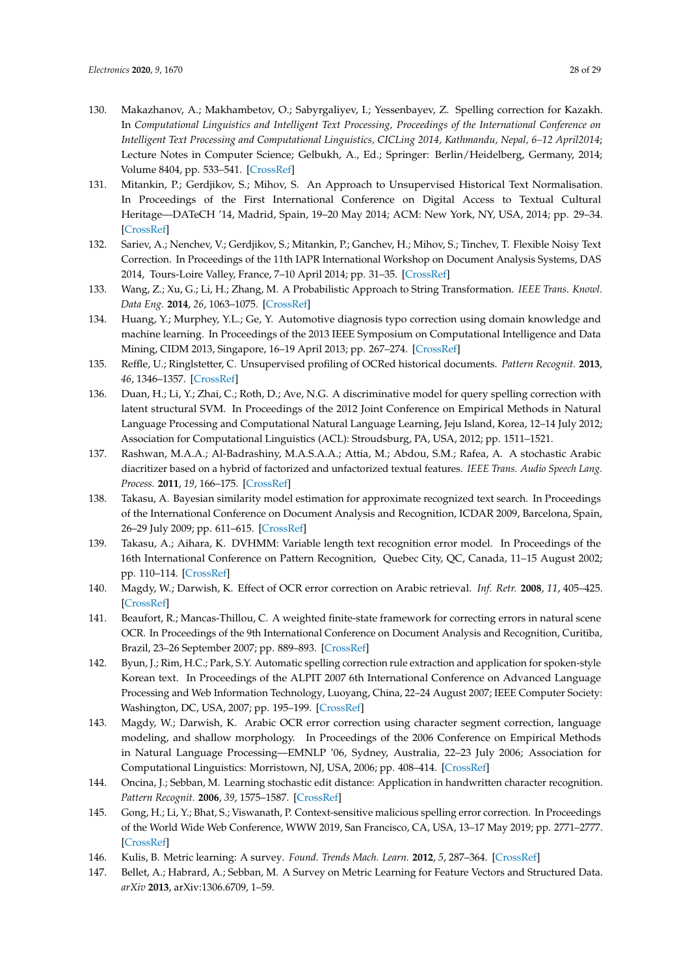- <span id="page-27-16"></span><span id="page-27-6"></span><span id="page-27-5"></span><span id="page-27-4"></span><span id="page-27-3"></span><span id="page-27-2"></span><span id="page-27-1"></span><span id="page-27-0"></span>130. Makazhanov, A.; Makhambetov, O.; Sabyrgaliyev, I.; Yessenbayev, Z. Spelling correction for Kazakh. In *Computational Linguistics and Intelligent Text Processing, Proceedings of the International Conference on Intelligent Text Processing and Computational Linguistics, CICLing 2014, Kathmandu, Nepal, 6–12 April2014*; Lecture Notes in Computer Science; Gelbukh, A., Ed.; Springer: Berlin/Heidelberg, Germany, 2014; Volume 8404, pp. 533–541. [\[CrossRef\]](http://dx.doi.org/10.1007/978-3-642-54903-8_44)
- <span id="page-27-20"></span><span id="page-27-8"></span><span id="page-27-7"></span>131. Mitankin, P.; Gerdjikov, S.; Mihov, S. An Approach to Unsupervised Historical Text Normalisation. In Proceedings of the First International Conference on Digital Access to Textual Cultural Heritage—DATeCH '14, Madrid, Spain, 19–20 May 2014; ACM: New York, NY, USA, 2014; pp. 29–34. [\[CrossRef\]](http://dx.doi.org/10.1145/2595188.2595191)
- <span id="page-27-19"></span><span id="page-27-9"></span>132. Sariev, A.; Nenchev, V.; Gerdjikov, S.; Mitankin, P.; Ganchev, H.; Mihov, S.; Tinchev, T. Flexible Noisy Text Correction. In Proceedings of the 11th IAPR International Workshop on Document Analysis Systems, DAS 2014, Tours-Loire Valley, France, 7–10 April 2014; pp. 31–35. [\[CrossRef\]](http://dx.doi.org/10.1109/DAS.2014.12)
- <span id="page-27-10"></span>133. Wang, Z.; Xu, G.; Li, H.; Zhang, M. A Probabilistic Approach to String Transformation. *IEEE Trans. Knowl. Data Eng.* **2014**, *26*, 1063–1075. [\[CrossRef\]](http://dx.doi.org/10.1109/TKDE.2013.11)
- <span id="page-27-11"></span>134. Huang, Y.; Murphey, Y.L.; Ge, Y. Automotive diagnosis typo correction using domain knowledge and machine learning. In Proceedings of the 2013 IEEE Symposium on Computational Intelligence and Data Mining, CIDM 2013, Singapore, 16–19 April 2013; pp. 267–274. [\[CrossRef\]](http://dx.doi.org/10.1109/CIDM.2013.6597246)
- <span id="page-27-12"></span>135. Reffle, U.; Ringlstetter, C. Unsupervised profiling of OCRed historical documents. *Pattern Recognit.* **2013**, *46*, 1346–1357. [\[CrossRef\]](http://dx.doi.org/10.1016/j.patcog.2012.10.002)
- 136. Duan, H.; Li, Y.; Zhai, C.; Roth, D.; Ave, N.G. A discriminative model for query spelling correction with latent structural SVM. In Proceedings of the 2012 Joint Conference on Empirical Methods in Natural Language Processing and Computational Natural Language Learning, Jeju Island, Korea, 12–14 July 2012; Association for Computational Linguistics (ACL): Stroudsburg, PA, USA, 2012; pp. 1511–1521.
- <span id="page-27-13"></span>137. Rashwan, M.A.A.; Al-Badrashiny, M.A.S.A.A.; Attia, M.; Abdou, S.M.; Rafea, A. A stochastic Arabic diacritizer based on a hybrid of factorized and unfactorized textual features. *IEEE Trans. Audio Speech Lang. Process.* **2011**, *19*, 166–175. [\[CrossRef\]](http://dx.doi.org/10.1109/TASL.2010.2045240)
- <span id="page-27-14"></span>138. Takasu, A. Bayesian similarity model estimation for approximate recognized text search. In Proceedings of the International Conference on Document Analysis and Recognition, ICDAR 2009, Barcelona, Spain, 26–29 July 2009; pp. 611–615. [\[CrossRef\]](http://dx.doi.org/10.1109/ICDAR.2009.193)
- 139. Takasu, A.; Aihara, K. DVHMM: Variable length text recognition error model. In Proceedings of the 16th International Conference on Pattern Recognition, Quebec City, QC, Canada, 11–15 August 2002; pp. 110–114. [\[CrossRef\]](http://dx.doi.org/10.1109/ICPR.2002.1047807)
- 140. Magdy, W.; Darwish, K. Effect of OCR error correction on Arabic retrieval. *Inf. Retr.* **2008**, *11*, 405–425. [\[CrossRef\]](http://dx.doi.org/10.1007/s10791-008-9055-y)
- 141. Beaufort, R.; Mancas-Thillou, C. A weighted finite-state framework for correcting errors in natural scene OCR. In Proceedings of the 9th International Conference on Document Analysis and Recognition, Curitiba, Brazil, 23–26 September 2007; pp. 889–893. [\[CrossRef\]](http://dx.doi.org/10.1109/ICDAR.2007.4377043)
- 142. Byun, J.; Rim, H.C.; Park, S.Y. Automatic spelling correction rule extraction and application for spoken-style Korean text. In Proceedings of the ALPIT 2007 6th International Conference on Advanced Language Processing and Web Information Technology, Luoyang, China, 22–24 August 2007; IEEE Computer Society: Washington, DC, USA, 2007; pp. 195–199. [\[CrossRef\]](http://dx.doi.org/10.1109/ALPIT.2007.102)
- 143. Magdy, W.; Darwish, K. Arabic OCR error correction using character segment correction, language modeling, and shallow morphology. In Proceedings of the 2006 Conference on Empirical Methods in Natural Language Processing—EMNLP '06, Sydney, Australia, 22–23 July 2006; Association for Computational Linguistics: Morristown, NJ, USA, 2006; pp. 408–414. [\[CrossRef\]](http://dx.doi.org/10.3115/1610075.1610132)
- 144. Oncina, J.; Sebban, M. Learning stochastic edit distance: Application in handwritten character recognition. *Pattern Recognit.* **2006**, *39*, 1575–1587. [\[CrossRef\]](http://dx.doi.org/10.1016/j.patcog.2006.03.011)
- <span id="page-27-15"></span>145. Gong, H.; Li, Y.; Bhat, S.; Viswanath, P. Context-sensitive malicious spelling error correction. In Proceedings of the World Wide Web Conference, WWW 2019, San Francisco, CA, USA, 13–17 May 2019; pp. 2771–2777. [\[CrossRef\]](http://dx.doi.org/10.1145/3308558.3313431)
- <span id="page-27-17"></span>146. Kulis, B. Metric learning: A survey. *Found. Trends Mach. Learn.* **2012**, *5*, 287–364. [\[CrossRef\]](http://dx.doi.org/10.1561/2200000019)
- <span id="page-27-18"></span>147. Bellet, A.; Habrard, A.; Sebban, M. A Survey on Metric Learning for Feature Vectors and Structured Data. *arXiv* **2013**, arXiv:1306.6709, 1–59.